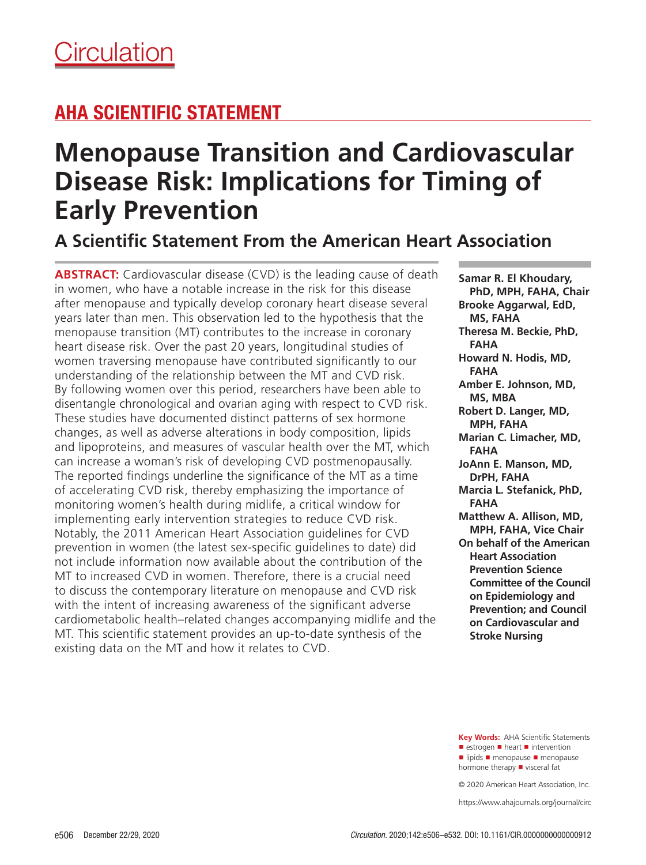## AHA SCIENTIFIC STATEMENT

# **Menopause Transition and Cardiovascular Disease Risk: Implications for Timing of Early Prevention**

## **A Scientific Statement From the American Heart Association**

**ABSTRACT:** Cardiovascular disease (CVD) is the leading cause of death in women, who have a notable increase in the risk for this disease after menopause and typically develop coronary heart disease several years later than men. This observation led to the hypothesis that the menopause transition (MT) contributes to the increase in coronary heart disease risk. Over the past 20 years, longitudinal studies of women traversing menopause have contributed significantly to our understanding of the relationship between the MT and CVD risk. By following women over this period, researchers have been able to disentangle chronological and ovarian aging with respect to CVD risk. These studies have documented distinct patterns of sex hormone changes, as well as adverse alterations in body composition, lipids and lipoproteins, and measures of vascular health over the MT, which can increase a woman's risk of developing CVD postmenopausally. The reported findings underline the significance of the MT as a time of accelerating CVD risk, thereby emphasizing the importance of monitoring women's health during midlife, a critical window for implementing early intervention strategies to reduce CVD risk. Notably, the 2011 American Heart Association guidelines for CVD prevention in women (the latest sex-specific guidelines to date) did not include information now available about the contribution of the MT to increased CVD in women. Therefore, there is a crucial need to discuss the contemporary literature on menopause and CVD risk with the intent of increasing awareness of the significant adverse cardiometabolic health–related changes accompanying midlife and the MT. This scientific statement provides an up-to-date synthesis of the existing data on the MT and how it relates to CVD.

**Samar R. El Khoudary, PhD, MPH, FAHA, Chair Brooke Aggarwal, EdD, MS, FAHA Theresa M. Beckie, PhD, FAHA Howard N. Hodis, MD, FAHA Amber E. Johnson, MD, MS, MBA Robert D. Langer, MD, MPH, FAHA Marian C. Limacher, MD, FAHA JoAnn E. Manson, MD, DrPH, FAHA Marcia L. Stefanick, PhD, FAHA Matthew A. Allison, MD, MPH, FAHA, Vice Chair On behalf of the American Heart Association Prevention Science Committee of the Council on Epidemiology and Prevention; and Council on Cardiovascular and Stroke Nursing**

**Key Words:** AHA Scientific Statements ■ estrogen ■ heart ■ intervention ■ lipids ■ menopause ■ menopause hormone therapy ■ visceral fat

© 2020 American Heart Association, Inc.

https://www.ahajournals.org/journal/circ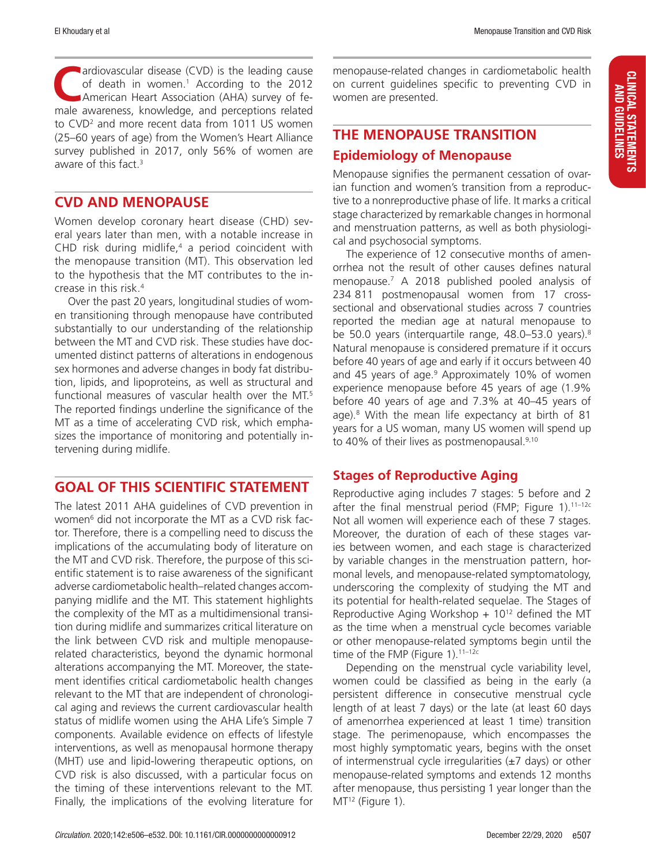**CALC** ardiovascular disease (CVD) is the leading cause of death in women.1 According to the 2012 American Heart Association (AHA) survey of female awareness, knowledge, and perceptions related to CVD<sup>2</sup> and more recent data from 1011 US women (25–60 years of age) from the Women's Heart Alliance survey published in 2017, only 56% of women are aware of this fact. $3$ 

#### **CVD AND MENOPAUSE**

Women develop coronary heart disease (CHD) several years later than men, with a notable increase in CHD risk during midlife,<sup>4</sup> a period coincident with the menopause transition (MT). This observation led to the hypothesis that the MT contributes to the increase in this risk.4

Over the past 20 years, longitudinal studies of women transitioning through menopause have contributed substantially to our understanding of the relationship between the MT and CVD risk. These studies have documented distinct patterns of alterations in endogenous sex hormones and adverse changes in body fat distribution, lipids, and lipoproteins, as well as structural and functional measures of vascular health over the MT.<sup>5</sup> The reported findings underline the significance of the MT as a time of accelerating CVD risk, which emphasizes the importance of monitoring and potentially intervening during midlife.

## **GOAL OF THIS SCIENTIFIC STATEMENT**

The latest 2011 AHA guidelines of CVD prevention in women6 did not incorporate the MT as a CVD risk factor. Therefore, there is a compelling need to discuss the implications of the accumulating body of literature on the MT and CVD risk. Therefore, the purpose of this scientific statement is to raise awareness of the significant adverse cardiometabolic health–related changes accompanying midlife and the MT. This statement highlights the complexity of the MT as a multidimensional transition during midlife and summarizes critical literature on the link between CVD risk and multiple menopauserelated characteristics, beyond the dynamic hormonal alterations accompanying the MT. Moreover, the statement identifies critical cardiometabolic health changes relevant to the MT that are independent of chronological aging and reviews the current cardiovascular health status of midlife women using the AHA Life's Simple 7 components. Available evidence on effects of lifestyle interventions, as well as menopausal hormone therapy (MHT) use and lipid-lowering therapeutic options, on CVD risk is also discussed, with a particular focus on the timing of these interventions relevant to the MT. Finally, the implications of the evolving literature for

menopause-related changes in cardiometabolic health on current guidelines specific to preventing CVD in women are presented.

## **THE MENOPAUSE TRANSITION Epidemiology of Menopause**

Menopause signifies the permanent cessation of ovarian function and women's transition from a reproductive to a nonreproductive phase of life. It marks a critical stage characterized by remarkable changes in hormonal and menstruation patterns, as well as both physiological and psychosocial symptoms.

The experience of 12 consecutive months of amenorrhea not the result of other causes defines natural menopause.7 A 2018 published pooled analysis of 234 811 postmenopausal women from 17 crosssectional and observational studies across 7 countries reported the median age at natural menopause to be 50.0 years (interquartile range, 48.0–53.0 years).<sup>8</sup> Natural menopause is considered premature if it occurs before 40 years of age and early if it occurs between 40 and 45 years of age.9 Approximately 10% of women experience menopause before 45 years of age (1.9% before 40 years of age and 7.3% at 40–45 years of age).8 With the mean life expectancy at birth of 81 years for a US woman, many US women will spend up to 40% of their lives as postmenopausal.<sup>9,10</sup>

## **Stages of Reproductive Aging**

Reproductive aging includes 7 stages: 5 before and 2 after the final menstrual period (FMP; Figure  $1$ ).<sup>11-12c</sup> Not all women will experience each of these 7 stages. Moreover, the duration of each of these stages varies between women, and each stage is characterized by variable changes in the menstruation pattern, hormonal levels, and menopause-related symptomatology, underscoring the complexity of studying the MT and its potential for health-related sequelae. The Stages of Reproductive Aging Workshop  $+10^{12}$  defined the MT as the time when a menstrual cycle becomes variable or other menopause-related symptoms begin until the time of the FMP (Figure 1).<sup>11-12c</sup>

Depending on the menstrual cycle variability level, women could be classified as being in the early (a persistent difference in consecutive menstrual cycle length of at least 7 days) or the late (at least 60 days of amenorrhea experienced at least 1 time) transition stage. The perimenopause, which encompasses the most highly symptomatic years, begins with the onset of intermenstrual cycle irregularities  $(\pm 7 \text{ days})$  or other menopause-related symptoms and extends 12 months after menopause, thus persisting 1 year longer than the MT<sup>12</sup> (Figure 1).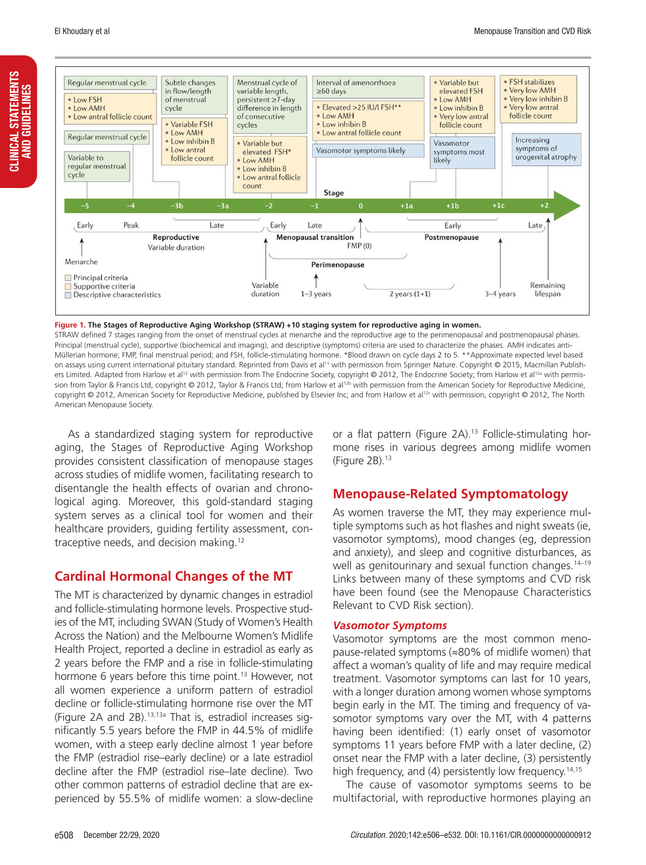CLINICAL STATEMENTS AND GUIDELINES

**CLINICAL STATEMENTS<br>AND GUIDELINES** 



**Figure 1. The Stages of Reproductive Aging Workshop (STRAW) +10 staging system for reproductive aging in women.**

STRAW defined 7 stages ranging from the onset of menstrual cycles at menarche and the reproductive age to the perimenopausal and postmenopausal phases. Principal (menstrual cycle), supportive (biochemical and imaging), and descriptive (symptoms) criteria are used to characterize the phases. AMH indicates anti-Müllerian hormone; FMP, final menstrual period; and FSH, follicle-stimulating hormone. \*Blood drawn on cycle days 2 to 5. \*\*Approximate expected level based on assays using current international pituitary standard. Reprinted from Davis et al<sup>11</sup> with permission from Springer Nature. Copyright © 2015, Macmillan Publishers Limited. Adapted from Harlow et al<sup>12</sup> with permission from The Endocrine Society, copyright © 2012, The Endocrine Society; from Harlow et al<sup>12a</sup> with permission from Taylor & Francis Ltd, copyright @ 2012, Taylor & Francis Ltd; from Harlow et al<sup>12b</sup> with permission from the American Society for Reproductive Medicine, copyright © 2012, American Society for Reproductive Medicine, published by Elsevier Inc; and from Harlow et al<sup>12c</sup> with permission, copyright © 2012, The North American Menopause Society.

As a standardized staging system for reproductive aging, the Stages of Reproductive Aging Workshop provides consistent classification of menopause stages across studies of midlife women, facilitating research to disentangle the health effects of ovarian and chronological aging. Moreover, this gold-standard staging system serves as a clinical tool for women and their healthcare providers, guiding fertility assessment, contraceptive needs, and decision making.12

#### **Cardinal Hormonal Changes of the MT**

The MT is characterized by dynamic changes in estradiol and follicle-stimulating hormone levels. Prospective studies of the MT, including SWAN (Study of Women's Health Across the Nation) and the Melbourne Women's Midlife Health Project, reported a decline in estradiol as early as 2 years before the FMP and a rise in follicle-stimulating hormone 6 years before this time point.<sup>13</sup> However, not all women experience a uniform pattern of estradiol decline or follicle-stimulating hormone rise over the MT (Figure 2A and 2B).13,13a That is, estradiol increases significantly 5.5 years before the FMP in 44.5% of midlife women, with a steep early decline almost 1 year before the FMP (estradiol rise–early decline) or a late estradiol decline after the FMP (estradiol rise–late decline). Two other common patterns of estradiol decline that are experienced by 55.5% of midlife women: a slow-decline

or a flat pattern (Figure 2A).<sup>13</sup> Follicle-stimulating hormone rises in various degrees among midlife women (Figure 2B).13

## **Menopause-Related Symptomatology**

As women traverse the MT, they may experience multiple symptoms such as hot flashes and night sweats (ie, vasomotor symptoms), mood changes (eg, depression and anxiety), and sleep and cognitive disturbances, as well as genitourinary and sexual function changes.<sup>14-19</sup> Links between many of these symptoms and CVD risk have been found (see the Menopause Characteristics Relevant to CVD Risk section).

#### *Vasomotor Symptoms*

Vasomotor symptoms are the most common menopause-related symptoms (≈80% of midlife women) that affect a woman's quality of life and may require medical treatment. Vasomotor symptoms can last for 10 years, with a longer duration among women whose symptoms begin early in the MT. The timing and frequency of vasomotor symptoms vary over the MT, with 4 patterns having been identified: (1) early onset of vasomotor symptoms 11 years before FMP with a later decline, (2) onset near the FMP with a later decline, (3) persistently high frequency, and (4) persistently low frequency.<sup>14,15</sup>

The cause of vasomotor symptoms seems to be multifactorial, with reproductive hormones playing an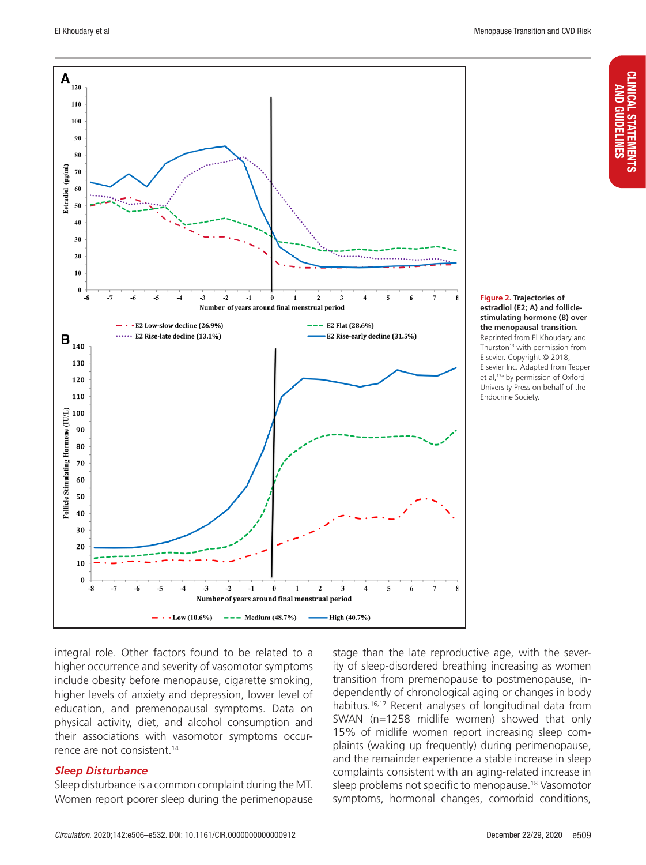

**Figure 2. Trajectories of estradiol (E2; A) and folliclestimulating hormone (B) over the menopausal transition.** Reprinted from El Khoudary and Thurston<sup>13</sup> with permission from Elsevier. Copyright © 2018, Elsevier Inc. Adapted from Tepper et al,<sup>13a</sup> by permission of Oxford University Press on behalf of the Endocrine Society.

integral role. Other factors found to be related to a higher occurrence and severity of vasomotor symptoms include obesity before menopause, cigarette smoking, higher levels of anxiety and depression, lower level of education, and premenopausal symptoms. Data on physical activity, diet, and alcohol consumption and their associations with vasomotor symptoms occurrence are not consistent.<sup>14</sup>

#### *Sleep Disturbance*

Sleep disturbance is a common complaint during the MT. Women report poorer sleep during the perimenopause stage than the late reproductive age, with the severity of sleep-disordered breathing increasing as women transition from premenopause to postmenopause, independently of chronological aging or changes in body habitus.16,17 Recent analyses of longitudinal data from SWAN (n=1258 midlife women) showed that only 15% of midlife women report increasing sleep complaints (waking up frequently) during perimenopause, and the remainder experience a stable increase in sleep complaints consistent with an aging-related increase in sleep problems not specific to menopause.18 Vasomotor symptoms, hormonal changes, comorbid conditions,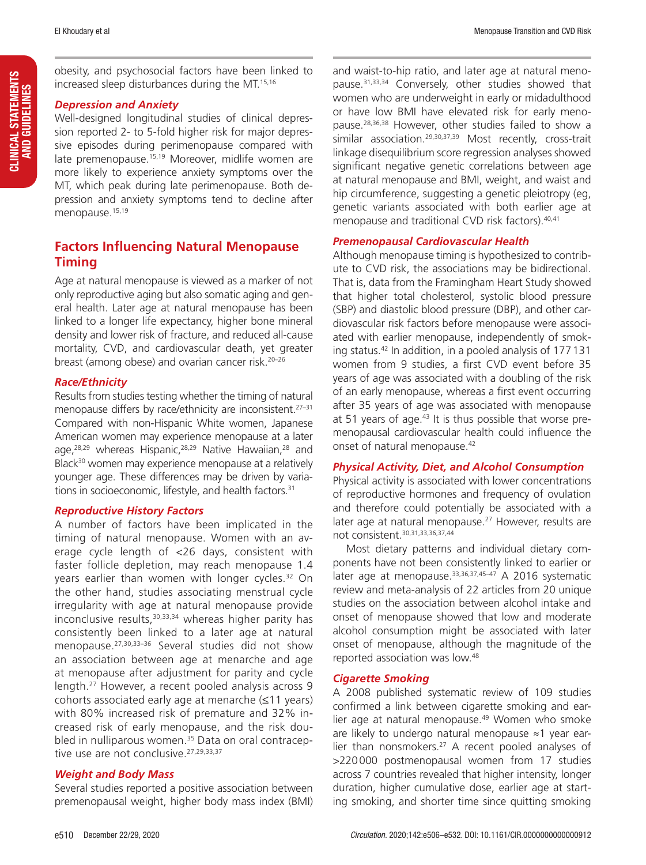obesity, and psychosocial factors have been linked to increased sleep disturbances during the MT.15,16

#### *Depression and Anxiety*

Well-designed longitudinal studies of clinical depression reported 2- to 5-fold higher risk for major depressive episodes during perimenopause compared with late premenopause.<sup>15,19</sup> Moreover, midlife women are more likely to experience anxiety symptoms over the MT, which peak during late perimenopause. Both depression and anxiety symptoms tend to decline after menopause.<sup>15,19</sup>

## **Factors Influencing Natural Menopause Timing**

Age at natural menopause is viewed as a marker of not only reproductive aging but also somatic aging and general health. Later age at natural menopause has been linked to a longer life expectancy, higher bone mineral density and lower risk of fracture, and reduced all-cause mortality, CVD, and cardiovascular death, yet greater breast (among obese) and ovarian cancer risk.20–26

#### *Race/Ethnicity*

Results from studies testing whether the timing of natural menopause differs by race/ethnicity are inconsistent.27–31 Compared with non-Hispanic White women, Japanese American women may experience menopause at a later age,<sup>28,29</sup> whereas Hispanic,<sup>28,29</sup> Native Hawaiian,<sup>28</sup> and Black<sup>30</sup> women may experience menopause at a relatively younger age. These differences may be driven by variations in socioeconomic, lifestyle, and health factors.<sup>31</sup>

#### *Reproductive History Factors*

A number of factors have been implicated in the timing of natural menopause. Women with an average cycle length of <26 days, consistent with faster follicle depletion, may reach menopause 1.4 years earlier than women with longer cycles.<sup>32</sup> On the other hand, studies associating menstrual cycle irregularity with age at natural menopause provide inconclusive results,<sup>30,33,34</sup> whereas higher parity has consistently been linked to a later age at natural menopause.<sup>27,30,33–36</sup> Several studies did not show an association between age at menarche and age at menopause after adjustment for parity and cycle length.27 However, a recent pooled analysis across 9 cohorts associated early age at menarche (≤11 years) with 80% increased risk of premature and 32% increased risk of early menopause, and the risk doubled in nulliparous women.<sup>35</sup> Data on oral contraceptive use are not conclusive.<sup>27,29,33,37</sup>

#### *Weight and Body Mass*

Several studies reported a positive association between premenopausal weight, higher body mass index (BMI) and waist-to-hip ratio, and later age at natural menopause.<sup>31,33,34</sup> Conversely, other studies showed that women who are underweight in early or midadulthood or have low BMI have elevated risk for early menopause.28,36,38 However, other studies failed to show a similar association.<sup>29,30,37,39</sup> Most recently, cross-trait linkage disequilibrium score regression analyses showed significant negative genetic correlations between age at natural menopause and BMI, weight, and waist and hip circumference, suggesting a genetic pleiotropy (eg, genetic variants associated with both earlier age at menopause and traditional CVD risk factors).<sup>40,41</sup>

#### *Premenopausal Cardiovascular Health*

Although menopause timing is hypothesized to contribute to CVD risk, the associations may be bidirectional. That is, data from the Framingham Heart Study showed that higher total cholesterol, systolic blood pressure (SBP) and diastolic blood pressure (DBP), and other cardiovascular risk factors before menopause were associated with earlier menopause, independently of smoking status.42 In addition, in a pooled analysis of 177131 women from 9 studies, a first CVD event before 35 years of age was associated with a doubling of the risk of an early menopause, whereas a first event occurring after 35 years of age was associated with menopause at 51 years of age.43 It is thus possible that worse premenopausal cardiovascular health could influence the onset of natural menopause.<sup>42</sup>

#### *Physical Activity, Diet, and Alcohol Consumption*

Physical activity is associated with lower concentrations of reproductive hormones and frequency of ovulation and therefore could potentially be associated with a later age at natural menopause.<sup>27</sup> However, results are not consistent.30,31,33,36,37,44

Most dietary patterns and individual dietary components have not been consistently linked to earlier or later age at menopause.<sup>33,36,37,45-47</sup> A 2016 systematic review and meta-analysis of 22 articles from 20 unique studies on the association between alcohol intake and onset of menopause showed that low and moderate alcohol consumption might be associated with later onset of menopause, although the magnitude of the reported association was low.48

#### *Cigarette Smoking*

A 2008 published systematic review of 109 studies confirmed a link between cigarette smoking and earlier age at natural menopause.<sup>49</sup> Women who smoke are likely to undergo natural menopause ≈1 year earlier than nonsmokers.<sup>27</sup> A recent pooled analyses of >220000 postmenopausal women from 17 studies across 7 countries revealed that higher intensity, longer duration, higher cumulative dose, earlier age at starting smoking, and shorter time since quitting smoking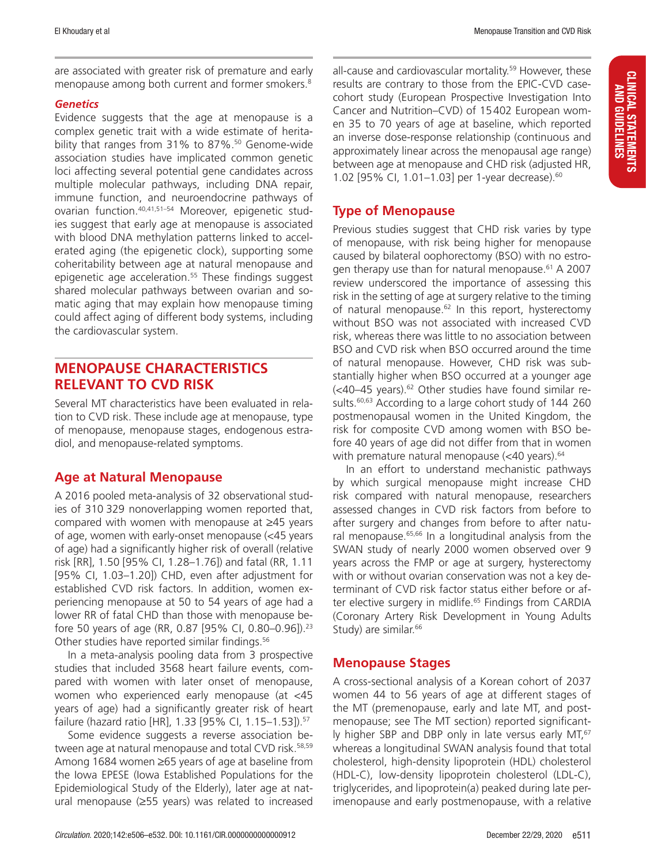are associated with greater risk of premature and early menopause among both current and former smokers.<sup>8</sup>

#### *Genetics*

Evidence suggests that the age at menopause is a complex genetic trait with a wide estimate of heritability that ranges from 31% to 87%.<sup>50</sup> Genome-wide association studies have implicated common genetic loci affecting several potential gene candidates across multiple molecular pathways, including DNA repair, immune function, and neuroendocrine pathways of ovarian function.40,41,51–54 Moreover, epigenetic studies suggest that early age at menopause is associated with blood DNA methylation patterns linked to accelerated aging (the epigenetic clock), supporting some coheritability between age at natural menopause and epigenetic age acceleration.<sup>55</sup> These findings suggest shared molecular pathways between ovarian and somatic aging that may explain how menopause timing could affect aging of different body systems, including the cardiovascular system.

## **MENOPAUSE CHARACTERISTICS RELEVANT TO CVD RISK**

Several MT characteristics have been evaluated in relation to CVD risk. These include age at menopause, type of menopause, menopause stages, endogenous estradiol, and menopause-related symptoms.

#### **Age at Natural Menopause**

A 2016 pooled meta-analysis of 32 observational studies of 310 329 nonoverlapping women reported that, compared with women with menopause at ≥45 years of age, women with early-onset menopause (<45 years of age) had a significantly higher risk of overall (relative risk [RR], 1.50 [95% CI, 1.28–1.76]) and fatal (RR, 1.11 [95% CI, 1.03–1.20]) CHD, even after adjustment for established CVD risk factors. In addition, women experiencing menopause at 50 to 54 years of age had a lower RR of fatal CHD than those with menopause before 50 years of age (RR, 0.87 [95% CI, 0.80–0.96]).23 Other studies have reported similar findings.<sup>56</sup>

In a meta‐analysis pooling data from 3 prospective studies that included 3568 heart failure events, compared with women with later onset of menopause, women who experienced early menopause (at <45 years of age) had a significantly greater risk of heart failure (hazard ratio [HR], 1.33 [95% CI, 1.15–1.53]).57

Some evidence suggests a reverse association between age at natural menopause and total CVD risk.<sup>58,59</sup> Among 1684 women ≥65 years of age at baseline from the Iowa EPESE (Iowa Established Populations for the Epidemiological Study of the Elderly), later age at natural menopause (≥55 years) was related to increased all-cause and cardiovascular mortality.<sup>59</sup> However, these results are contrary to those from the EPIC-CVD casecohort study (European Prospective Investigation Into Cancer and Nutrition–CVD) of 15402 European women 35 to 70 years of age at baseline, which reported an inverse dose-response relationship (continuous and approximately linear across the menopausal age range) between age at menopause and CHD risk (adjusted HR, 1.02 [95% CI, 1.01–1.03] per 1-year decrease).60

#### **Type of Menopause**

Previous studies suggest that CHD risk varies by type of menopause, with risk being higher for menopause caused by bilateral oophorectomy (BSO) with no estrogen therapy use than for natural menopause.<sup>61</sup> A 2007 review underscored the importance of assessing this risk in the setting of age at surgery relative to the timing of natural menopause. $62$  In this report, hysterectomy without BSO was not associated with increased CVD risk, whereas there was little to no association between BSO and CVD risk when BSO occurred around the time of natural menopause. However, CHD risk was substantially higher when BSO occurred at a younger age  $\left($  <40–45 years).<sup>62</sup> Other studies have found similar results.<sup>60,63</sup> According to a large cohort study of 144 260 postmenopausal women in the United Kingdom, the risk for composite CVD among women with BSO before 40 years of age did not differ from that in women with premature natural menopause (<40 years).<sup>64</sup>

In an effort to understand mechanistic pathways by which surgical menopause might increase CHD risk compared with natural menopause, researchers assessed changes in CVD risk factors from before to after surgery and changes from before to after natural menopause.<sup>65,66</sup> In a longitudinal analysis from the SWAN study of nearly 2000 women observed over 9 years across the FMP or age at surgery, hysterectomy with or without ovarian conservation was not a key determinant of CVD risk factor status either before or after elective surgery in midlife.<sup>65</sup> Findings from CARDIA (Coronary Artery Risk Development in Young Adults Study) are similar.<sup>66</sup>

#### **Menopause Stages**

A cross-sectional analysis of a Korean cohort of 2037 women 44 to 56 years of age at different stages of the MT (premenopause, early and late MT, and postmenopause; see The MT section) reported significantly higher SBP and DBP only in late versus early MT,<sup>67</sup> whereas a longitudinal SWAN analysis found that total cholesterol, high-density lipoprotein (HDL) cholesterol (HDL-C), low-density lipoprotein cholesterol (LDL-C), triglycerides, and lipoprotein(a) peaked during late perimenopause and early postmenopause, with a relative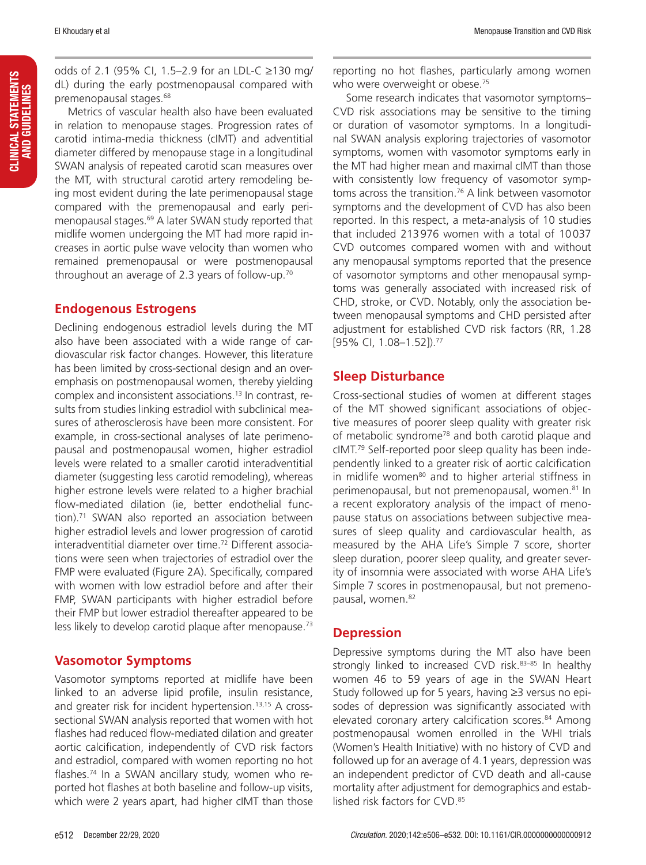odds of 2.1 (95% CI, 1.5–2.9 for an LDL-C ≥130 mg/ dL) during the early postmenopausal compared with premenopausal stages.68

Metrics of vascular health also have been evaluated in relation to menopause stages. Progression rates of carotid intima-media thickness (cIMT) and adventitial diameter differed by menopause stage in a longitudinal SWAN analysis of repeated carotid scan measures over the MT, with structural carotid artery remodeling being most evident during the late perimenopausal stage compared with the premenopausal and early perimenopausal stages.<sup>69</sup> A later SWAN study reported that midlife women undergoing the MT had more rapid increases in aortic pulse wave velocity than women who remained premenopausal or were postmenopausal throughout an average of 2.3 years of follow-up.70

## **Endogenous Estrogens**

Declining endogenous estradiol levels during the MT also have been associated with a wide range of cardiovascular risk factor changes. However, this literature has been limited by cross-sectional design and an overemphasis on postmenopausal women, thereby yielding complex and inconsistent associations.13 In contrast, results from studies linking estradiol with subclinical measures of atherosclerosis have been more consistent. For example, in cross-sectional analyses of late perimenopausal and postmenopausal women, higher estradiol levels were related to a smaller carotid interadventitial diameter (suggesting less carotid remodeling), whereas higher estrone levels were related to a higher brachial flow-mediated dilation (ie, better endothelial function).<sup>71</sup> SWAN also reported an association between higher estradiol levels and lower progression of carotid interadventitial diameter over time.72 Different associations were seen when trajectories of estradiol over the FMP were evaluated (Figure 2A). Specifically, compared with women with low estradiol before and after their FMP, SWAN participants with higher estradiol before their FMP but lower estradiol thereafter appeared to be less likely to develop carotid plaque after menopause.<sup>73</sup>

## **Vasomotor Symptoms**

Vasomotor symptoms reported at midlife have been linked to an adverse lipid profile, insulin resistance, and greater risk for incident hypertension.13,15 A crosssectional SWAN analysis reported that women with hot flashes had reduced flow-mediated dilation and greater aortic calcification, independently of CVD risk factors and estradiol, compared with women reporting no hot flashes.74 In a SWAN ancillary study, women who reported hot flashes at both baseline and follow-up visits, which were 2 years apart, had higher cIMT than those

reporting no hot flashes, particularly among women who were overweight or obese.<sup>75</sup>

Some research indicates that vasomotor symptoms– CVD risk associations may be sensitive to the timing or duration of vasomotor symptoms. In a longitudinal SWAN analysis exploring trajectories of vasomotor symptoms, women with vasomotor symptoms early in the MT had higher mean and maximal cIMT than those with consistently low frequency of vasomotor symptoms across the transition.<sup>76</sup> A link between vasomotor symptoms and the development of CVD has also been reported. In this respect, a meta-analysis of 10 studies that included 213976 women with a total of 10037 CVD outcomes compared women with and without any menopausal symptoms reported that the presence of vasomotor symptoms and other menopausal symptoms was generally associated with increased risk of CHD, stroke, or CVD. Notably, only the association between menopausal symptoms and CHD persisted after adjustment for established CVD risk factors (RR, 1.28 [95% CI, 1.08–1.52]).77

## **Sleep Disturbance**

Cross-sectional studies of women at different stages of the MT showed significant associations of objective measures of poorer sleep quality with greater risk of metabolic syndrome<sup>78</sup> and both carotid plaque and cIMT.79 Self-reported poor sleep quality has been independently linked to a greater risk of aortic calcification in midlife women<sup>80</sup> and to higher arterial stiffness in perimenopausal, but not premenopausal, women.<sup>81</sup> In a recent exploratory analysis of the impact of menopause status on associations between subjective measures of sleep quality and cardiovascular health, as measured by the AHA Life's Simple 7 score, shorter sleep duration, poorer sleep quality, and greater severity of insomnia were associated with worse AHA Life's Simple 7 scores in postmenopausal, but not premenopausal, women.<sup>82</sup>

## **Depression**

Depressive symptoms during the MT also have been strongly linked to increased CVD risk.<sup>83-85</sup> In healthy women 46 to 59 years of age in the SWAN Heart Study followed up for 5 years, having ≥3 versus no episodes of depression was significantly associated with elevated coronary artery calcification scores.<sup>84</sup> Among postmenopausal women enrolled in the WHI trials (Women's Health Initiative) with no history of CVD and followed up for an average of 4.1 years, depression was an independent predictor of CVD death and all-cause mortality after adjustment for demographics and established risk factors for CVD.<sup>85</sup>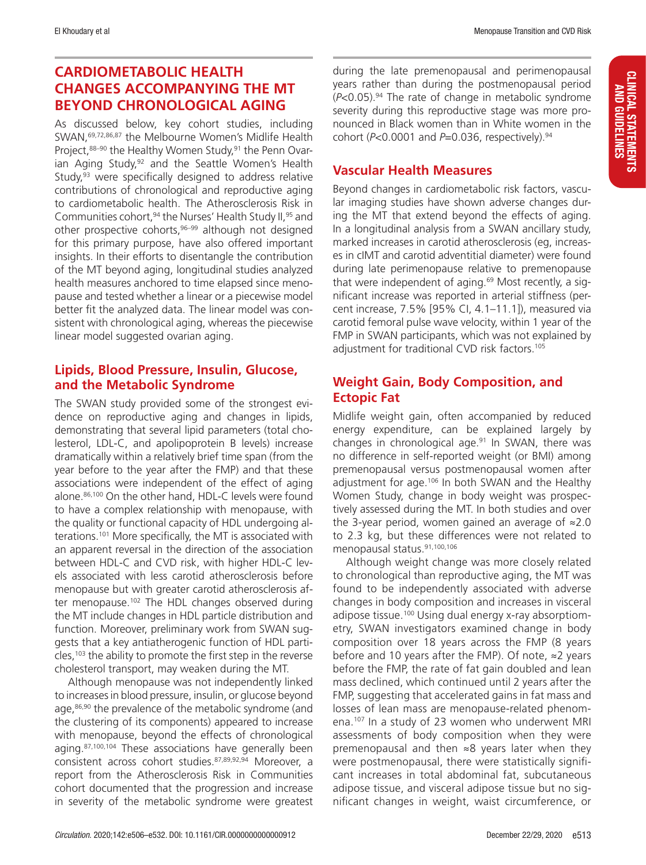## **CARDIOMETABOLIC HEALTH CHANGES ACCOMPANYING THE MT BEYOND CHRONOLOGICAL AGING**

As discussed below, key cohort studies, including SWAN,69,72,86,87 the Melbourne Women's Midlife Health Project, 88-90 the Healthy Women Study, 91 the Penn Ovarian Aging Study,<sup>92</sup> and the Seattle Women's Health Study, $93$  were specifically designed to address relative contributions of chronological and reproductive aging to cardiometabolic health. The Atherosclerosis Risk in Communities cohort, <sup>94</sup> the Nurses' Health Study II, <sup>95</sup> and other prospective cohorts,<sup>96–99</sup> although not designed for this primary purpose, have also offered important insights. In their efforts to disentangle the contribution of the MT beyond aging, longitudinal studies analyzed health measures anchored to time elapsed since menopause and tested whether a linear or a piecewise model better fit the analyzed data. The linear model was consistent with chronological aging, whereas the piecewise linear model suggested ovarian aging.

#### **Lipids, Blood Pressure, Insulin, Glucose, and the Metabolic Syndrome**

The SWAN study provided some of the strongest evidence on reproductive aging and changes in lipids, demonstrating that several lipid parameters (total cholesterol, LDL-C, and apolipoprotein B levels) increase dramatically within a relatively brief time span (from the year before to the year after the FMP) and that these associations were independent of the effect of aging alone.86,100 On the other hand, HDL-C levels were found to have a complex relationship with menopause, with the quality or functional capacity of HDL undergoing alterations.101 More specifically, the MT is associated with an apparent reversal in the direction of the association between HDL-C and CVD risk, with higher HDL-C levels associated with less carotid atherosclerosis before menopause but with greater carotid atherosclerosis after menopause.<sup>102</sup> The HDL changes observed during the MT include changes in HDL particle distribution and function. Moreover, preliminary work from SWAN suggests that a key antiatherogenic function of HDL particles,<sup>103</sup> the ability to promote the first step in the reverse cholesterol transport, may weaken during the MT.

Although menopause was not independently linked to increases in blood pressure, insulin, or glucose beyond age,<sup>86,90</sup> the prevalence of the metabolic syndrome (and the clustering of its components) appeared to increase with menopause, beyond the effects of chronological aging.<sup>87,100,104</sup> These associations have generally been consistent across cohort studies.87,89,92,94 Moreover, a report from the Atherosclerosis Risk in Communities cohort documented that the progression and increase in severity of the metabolic syndrome were greatest

during the late premenopausal and perimenopausal years rather than during the postmenopausal period (*P*<0.05).94 The rate of change in metabolic syndrome severity during this reproductive stage was more pronounced in Black women than in White women in the cohort (*P*<0.0001 and *P*=0.036, respectively).94

#### **Vascular Health Measures**

Beyond changes in cardiometabolic risk factors, vascular imaging studies have shown adverse changes during the MT that extend beyond the effects of aging. In a longitudinal analysis from a SWAN ancillary study, marked increases in carotid atherosclerosis (eg, increases in cIMT and carotid adventitial diameter) were found during late perimenopause relative to premenopause that were independent of aging.<sup>69</sup> Most recently, a significant increase was reported in arterial stiffness (percent increase, 7.5% [95% CI, 4.1–11.1]), measured via carotid femoral pulse wave velocity, within 1 year of the FMP in SWAN participants, which was not explained by adjustment for traditional CVD risk factors.105

#### **Weight Gain, Body Composition, and Ectopic Fat**

Midlife weight gain, often accompanied by reduced energy expenditure, can be explained largely by changes in chronological age.91 In SWAN, there was no difference in self-reported weight (or BMI) among premenopausal versus postmenopausal women after adjustment for age.<sup>106</sup> In both SWAN and the Healthy Women Study, change in body weight was prospectively assessed during the MT. In both studies and over the 3-year period, women gained an average of ≈2.0 to 2.3 kg, but these differences were not related to menopausal status.91,100,106

Although weight change was more closely related to chronological than reproductive aging, the MT was found to be independently associated with adverse changes in body composition and increases in visceral adipose tissue.<sup>100</sup> Using dual energy x-ray absorptiometry, SWAN investigators examined change in body composition over 18 years across the FMP (8 years before and 10 years after the FMP). Of note, ≈2 years before the FMP, the rate of fat gain doubled and lean mass declined, which continued until 2 years after the FMP, suggesting that accelerated gains in fat mass and losses of lean mass are menopause-related phenomena.107 In a study of 23 women who underwent MRI assessments of body composition when they were premenopausal and then ≈8 years later when they were postmenopausal, there were statistically significant increases in total abdominal fat, subcutaneous adipose tissue, and visceral adipose tissue but no significant changes in weight, waist circumference, or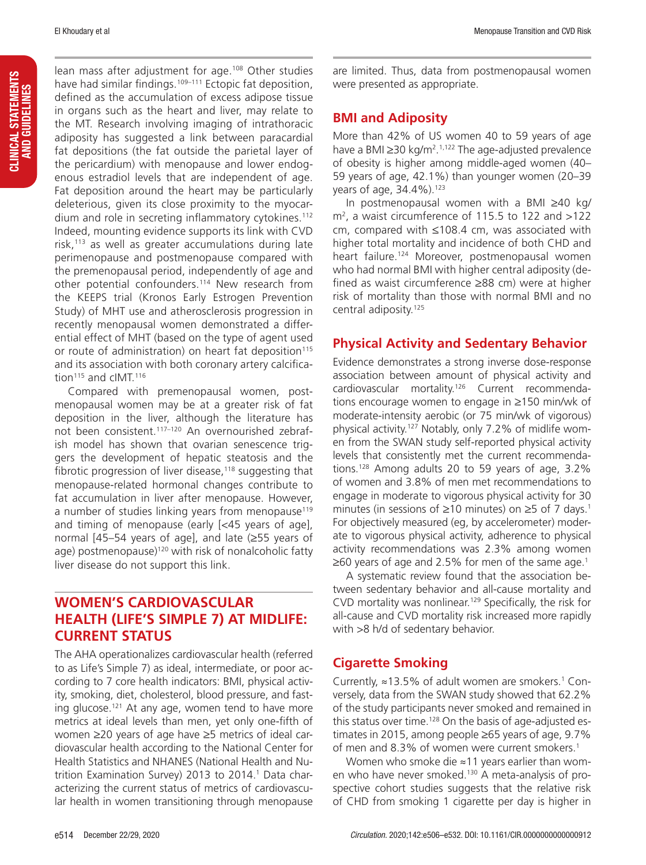CLINICAL STATEMENTS AND GUIDELINES

CLINICAL STATEMENTS<br>AND GUIDELINES

lean mass after adjustment for age.<sup>108</sup> Other studies have had similar findings.<sup>109–111</sup> Ectopic fat deposition, defined as the accumulation of excess adipose tissue in organs such as the heart and liver, may relate to the MT. Research involving imaging of intrathoracic adiposity has suggested a link between paracardial fat depositions (the fat outside the parietal layer of the pericardium) with menopause and lower endogenous estradiol levels that are independent of age. Fat deposition around the heart may be particularly deleterious, given its close proximity to the myocardium and role in secreting inflammatory cytokines.<sup>112</sup> Indeed, mounting evidence supports its link with CVD risk, $113$  as well as greater accumulations during late perimenopause and postmenopause compared with the premenopausal period, independently of age and other potential confounders.<sup>114</sup> New research from the KEEPS trial (Kronos Early Estrogen Prevention Study) of MHT use and atherosclerosis progression in recently menopausal women demonstrated a differential effect of MHT (based on the type of agent used or route of administration) on heart fat deposition<sup>115</sup> and its association with both coronary artery calcification<sup>115</sup> and cIMT.<sup>116</sup>

Compared with premenopausal women, postmenopausal women may be at a greater risk of fat deposition in the liver, although the literature has not been consistent.<sup>117-120</sup> An overnourished zebrafish model has shown that ovarian senescence triggers the development of hepatic steatosis and the fibrotic progression of liver disease, $118$  suggesting that menopause-related hormonal changes contribute to fat accumulation in liver after menopause. However, a number of studies linking years from menopause<sup>119</sup> and timing of menopause (early [<45 years of age], normal [45–54 years of age], and late (≥55 years of age) postmenopause)<sup>120</sup> with risk of nonalcoholic fatty liver disease do not support this link.

## **WOMEN'S CARDIOVASCULAR HEALTH (LIFE'S SIMPLE 7) AT MIDLIFE: CURRENT STATUS**

The AHA operationalizes cardiovascular health (referred to as Life's Simple 7) as ideal, intermediate, or poor according to 7 core health indicators: BMI, physical activity, smoking, diet, cholesterol, blood pressure, and fasting glucose.121 At any age, women tend to have more metrics at ideal levels than men, yet only one-fifth of women ≥20 years of age have ≥5 metrics of ideal cardiovascular health according to the National Center for Health Statistics and NHANES (National Health and Nutrition Examination Survey) 2013 to 2014.<sup>1</sup> Data characterizing the current status of metrics of cardiovascular health in women transitioning through menopause

are limited. Thus, data from postmenopausal women were presented as appropriate.

## **BMI and Adiposity**

More than 42% of US women 40 to 59 years of age have a BMI ≥30 kg/m<sup>2</sup>.<sup>1,122</sup> The age-adjusted prevalence of obesity is higher among middle-aged women (40– 59 years of age, 42.1%) than younger women (20–39 years of age, 34.4%).<sup>123</sup>

In postmenopausal women with a BMI ≥40 kg/ m2 , a waist circumference of 115.5 to 122 and >122 cm, compared with ≤108.4 cm, was associated with higher total mortality and incidence of both CHD and heart failure.<sup>124</sup> Moreover, postmenopausal women who had normal BMI with higher central adiposity (defined as waist circumference ≥88 cm) were at higher risk of mortality than those with normal BMI and no central adiposity.<sup>125</sup>

## **Physical Activity and Sedentary Behavior**

Evidence demonstrates a strong inverse dose-response association between amount of physical activity and cardiovascular mortality.126 Current recommendations encourage women to engage in ≥150 min/wk of moderate-intensity aerobic (or 75 min/wk of vigorous) physical activity.127 Notably, only 7.2% of midlife women from the SWAN study self-reported physical activity levels that consistently met the current recommendations.128 Among adults 20 to 59 years of age, 3.2% of women and 3.8% of men met recommendations to engage in moderate to vigorous physical activity for 30 minutes (in sessions of ≥10 minutes) on ≥5 of 7 days.<sup>1</sup> For objectively measured (eg, by accelerometer) moderate to vigorous physical activity, adherence to physical activity recommendations was 2.3% among women  $\geq$ 60 years of age and 2.5% for men of the same age.<sup>1</sup>

A systematic review found that the association between sedentary behavior and all-cause mortality and CVD mortality was nonlinear.129 Specifically, the risk for all-cause and CVD mortality risk increased more rapidly with >8 h/d of sedentary behavior.

## **Cigarette Smoking**

Currently,  $\approx$  13.5% of adult women are smokers.<sup>1</sup> Conversely, data from the SWAN study showed that 62.2% of the study participants never smoked and remained in this status over time.<sup>128</sup> On the basis of age-adjusted estimates in 2015, among people ≥65 years of age, 9.7% of men and 8.3% of women were current smokers.<sup>1</sup>

Women who smoke die ≈11 years earlier than women who have never smoked.<sup>130</sup> A meta-analysis of prospective cohort studies suggests that the relative risk of CHD from smoking 1 cigarette per day is higher in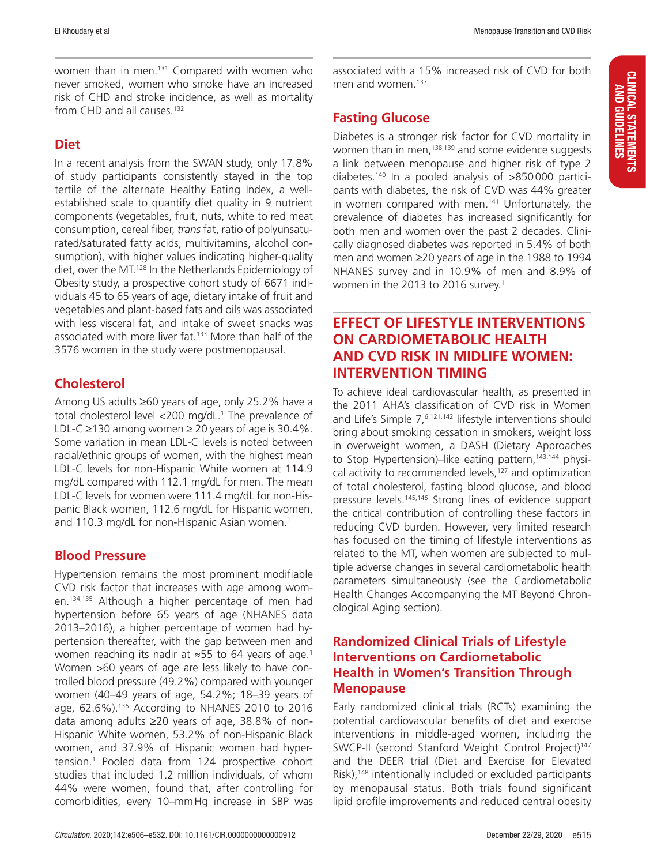women than in men.<sup>131</sup> Compared with women who never smoked, women who smoke have an increased risk of CHD and stroke incidence, as well as mortality from CHD and all causes.<sup>132</sup>

## **Diet**

In a recent analysis from the SWAN study, only 17.8% of study participants consistently stayed in the top tertile of the alternate Healthy Eating Index, a wellestablished scale to quantify diet quality in 9 nutrient components (vegetables, fruit, nuts, white to red meat consumption, cereal fiber, *trans* fat, ratio of polyunsaturated/saturated fatty acids, multivitamins, alcohol consumption), with higher values indicating higher-quality diet, over the MT.128 In the Netherlands Epidemiology of Obesity study, a prospective cohort study of 6671 individuals 45 to 65 years of age, dietary intake of fruit and vegetables and plant-based fats and oils was associated with less visceral fat, and intake of sweet snacks was associated with more liver fat.133 More than half of the 3576 women in the study were postmenopausal.

## **Cholesterol**

Among US adults ≥60 years of age, only 25.2% have a total cholesterol level <200 mg/dL.<sup>1</sup> The prevalence of LDL-C  $≥130$  among women  $≥$  20 years of age is 30.4%. Some variation in mean LDL-C levels is noted between racial/ethnic groups of women, with the highest mean LDL-C levels for non-Hispanic White women at 114.9 mg/dL compared with 112.1 mg/dL for men. The mean LDL-C levels for women were 111.4 mg/dL for non-Hispanic Black women, 112.6 mg/dL for Hispanic women, and 110.3 mg/dL for non-Hispanic Asian women.<sup>1</sup>

#### **Blood Pressure**

Hypertension remains the most prominent modifiable CVD risk factor that increases with age among women.134,135 Although a higher percentage of men had hypertension before 65 years of age (NHANES data 2013–2016), a higher percentage of women had hypertension thereafter, with the gap between men and women reaching its nadir at ≈55 to 64 years of age.<sup>1</sup> Women >60 years of age are less likely to have controlled blood pressure (49.2%) compared with younger women (40–49 years of age, 54.2%; 18–39 years of age, 62.6%).136 According to NHANES 2010 to 2016 data among adults ≥20 years of age, 38.8% of non-Hispanic White women, 53.2% of non-Hispanic Black women, and 37.9% of Hispanic women had hypertension.1 Pooled data from 124 prospective cohort studies that included 1.2 million individuals, of whom 44% were women, found that, after controlling for comorbidities, every 10–mmHg increase in SBP was

associated with a 15% increased risk of CVD for both men and women.<sup>137</sup>

## **Fasting Glucose**

Diabetes is a stronger risk factor for CVD mortality in women than in men,<sup>138,139</sup> and some evidence suggests a link between menopause and higher risk of type 2 diabetes.140 In a pooled analysis of >850000 participants with diabetes, the risk of CVD was 44% greater in women compared with men.141 Unfortunately, the prevalence of diabetes has increased significantly for both men and women over the past 2 decades. Clinically diagnosed diabetes was reported in 5.4% of both men and women ≥20 years of age in the 1988 to 1994 NHANES survey and in 10.9% of men and 8.9% of women in the 2013 to 2016 survey.1

## **EFFECT OF LIFESTYLE INTERVENTIONS ON CARDIOMETABOLIC HEALTH AND CVD RISK IN MIDLIFE WOMEN: INTERVENTION TIMING**

To achieve ideal cardiovascular health, as presented in the 2011 AHA's classification of CVD risk in Women and Life's Simple  $7,6,121,142$  lifestyle interventions should bring about smoking cessation in smokers, weight loss in overweight women, a DASH (Dietary Approaches to Stop Hypertension)–like eating pattern,<sup>143,144</sup> physical activity to recommended levels,<sup>127</sup> and optimization of total cholesterol, fasting blood glucose, and blood pressure levels.145,146 Strong lines of evidence support the critical contribution of controlling these factors in reducing CVD burden. However, very limited research has focused on the timing of lifestyle interventions as related to the MT, when women are subjected to multiple adverse changes in several cardiometabolic health parameters simultaneously (see the Cardiometabolic Health Changes Accompanying the MT Beyond Chronological Aging section).

## **Randomized Clinical Trials of Lifestyle Interventions on Cardiometabolic Health in Women's Transition Through Menopause**

Early randomized clinical trials (RCTs) examining the potential cardiovascular benefits of diet and exercise interventions in middle-aged women, including the SWCP-II (second Stanford Weight Control Project)<sup>147</sup> and the DEER trial (Diet and Exercise for Elevated Risk),<sup>148</sup> intentionally included or excluded participants by menopausal status. Both trials found significant lipid profile improvements and reduced central obesity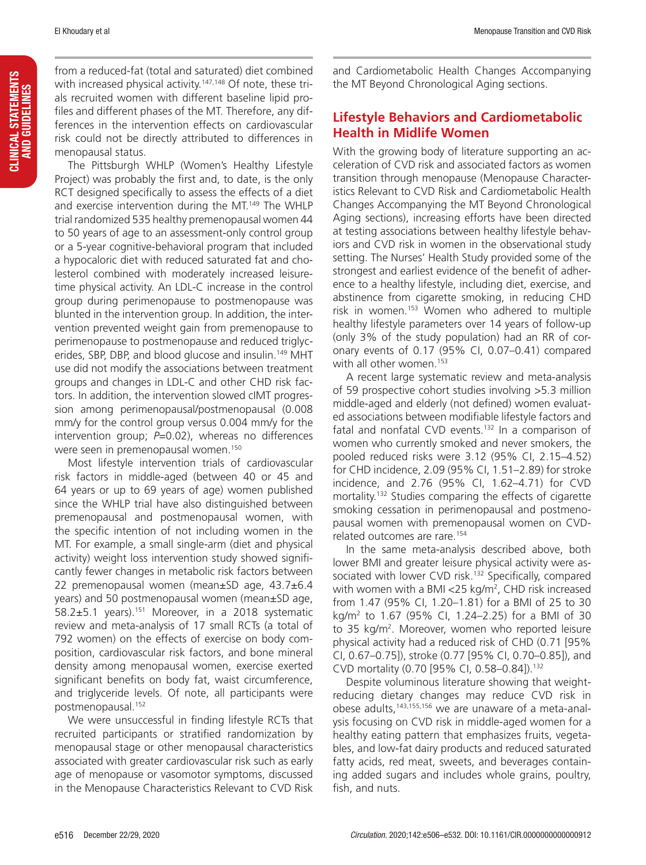from a reduced-fat (total and saturated) diet combined with increased physical activity.<sup>147,148</sup> Of note, these trials recruited women with different baseline lipid profiles and different phases of the MT. Therefore, any differences in the intervention effects on cardiovascular risk could not be directly attributed to differences in menopausal status.

The Pittsburgh WHLP (Women's Healthy Lifestyle Project) was probably the first and, to date, is the only RCT designed specifically to assess the effects of a diet and exercise intervention during the MT.149 The WHLP trial randomized 535 healthy premenopausal women 44 to 50 years of age to an assessment-only control group or a 5-year cognitive-behavioral program that included a hypocaloric diet with reduced saturated fat and cholesterol combined with moderately increased leisuretime physical activity. An LDL-C increase in the control group during perimenopause to postmenopause was blunted in the intervention group. In addition, the intervention prevented weight gain from premenopause to perimenopause to postmenopause and reduced triglycerides, SBP, DBP, and blood glucose and insulin.<sup>149</sup> MHT use did not modify the associations between treatment groups and changes in LDL-C and other CHD risk factors. In addition, the intervention slowed cIMT progression among perimenopausal/postmenopausal (0.008 mm/y for the control group versus 0.004 mm/y for the intervention group; *P*=0.02), whereas no differences were seen in premenopausal women.150

Most lifestyle intervention trials of cardiovascular risk factors in middle-aged (between 40 or 45 and 64 years or up to 69 years of age) women published since the WHLP trial have also distinguished between premenopausal and postmenopausal women, with the specific intention of not including women in the MT. For example, a small single-arm (diet and physical activity) weight loss intervention study showed significantly fewer changes in metabolic risk factors between 22 premenopausal women (mean±SD age, 43.7±6.4 years) and 50 postmenopausal women (mean±SD age, 58.2±5.1 years).151 Moreover, in a 2018 systematic review and meta-analysis of 17 small RCTs (a total of 792 women) on the effects of exercise on body composition, cardiovascular risk factors, and bone mineral density among menopausal women, exercise exerted significant benefits on body fat, waist circumference, and triglyceride levels. Of note, all participants were postmenopausal.152

We were unsuccessful in finding lifestyle RCTs that recruited participants or stratified randomization by menopausal stage or other menopausal characteristics associated with greater cardiovascular risk such as early age of menopause or vasomotor symptoms, discussed in the Menopause Characteristics Relevant to CVD Risk

and Cardiometabolic Health Changes Accompanying the MT Beyond Chronological Aging sections.

## **Lifestyle Behaviors and Cardiometabolic Health in Midlife Women**

With the growing body of literature supporting an acceleration of CVD risk and associated factors as women transition through menopause (Menopause Characteristics Relevant to CVD Risk and Cardiometabolic Health Changes Accompanying the MT Beyond Chronological Aging sections), increasing efforts have been directed at testing associations between healthy lifestyle behaviors and CVD risk in women in the observational study setting. The Nurses' Health Study provided some of the strongest and earliest evidence of the benefit of adherence to a healthy lifestyle, including diet, exercise, and abstinence from cigarette smoking, in reducing CHD risk in women.153 Women who adhered to multiple healthy lifestyle parameters over 14 years of follow-up (only 3% of the study population) had an RR of coronary events of 0.17 (95% CI, 0.07–0.41) compared with all other women.<sup>153</sup>

A recent large systematic review and meta-analysis of 59 prospective cohort studies involving >5.3 million middle-aged and elderly (not defined) women evaluated associations between modifiable lifestyle factors and fatal and nonfatal CVD events.<sup>132</sup> In a comparison of women who currently smoked and never smokers, the pooled reduced risks were 3.12 (95% CI, 2.15–4.52) for CHD incidence, 2.09 (95% CI, 1.51–2.89) for stroke incidence, and 2.76 (95% CI, 1.62–4.71) for CVD mortality.132 Studies comparing the effects of cigarette smoking cessation in perimenopausal and postmenopausal women with premenopausal women on CVDrelated outcomes are rare.154

In the same meta-analysis described above, both lower BMI and greater leisure physical activity were associated with lower CVD risk.132 Specifically, compared with women with a BMI <25 kg/m2 , CHD risk increased from 1.47 (95% CI, 1.20–1.81) for a BMI of 25 to 30 kg/m2 to 1.67 (95% CI, 1.24–2.25) for a BMI of 30 to 35 kg/m<sup>2</sup>. Moreover, women who reported leisure physical activity had a reduced risk of CHD (0.71 [95% CI, 0.67–0.75]), stroke (0.77 [95% CI, 0.70–0.85]), and CVD mortality (0.70 [95% CI, 0.58–0.84]).132

Despite voluminous literature showing that weightreducing dietary changes may reduce CVD risk in obese adults,<sup>143,155,156</sup> we are unaware of a meta-analysis focusing on CVD risk in middle-aged women for a healthy eating pattern that emphasizes fruits, vegetables, and low-fat dairy products and reduced saturated fatty acids, red meat, sweets, and beverages containing added sugars and includes whole grains, poultry, fish, and nuts.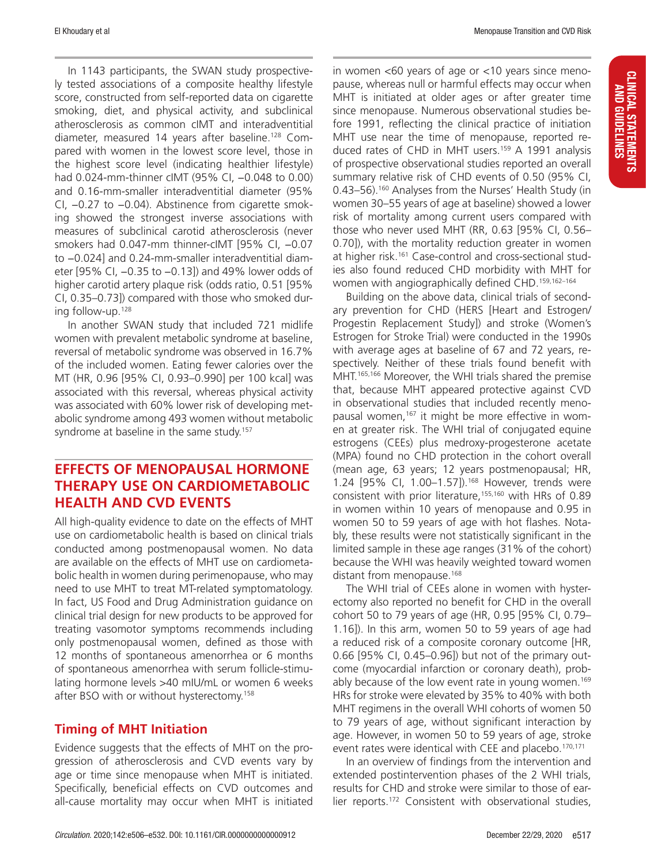In 1143 participants, the SWAN study prospectively tested associations of a composite healthy lifestyle score, constructed from self-reported data on cigarette smoking, diet, and physical activity, and subclinical atherosclerosis as common cIMT and interadventitial diameter, measured 14 years after baseline.128 Compared with women in the lowest score level, those in the highest score level (indicating healthier lifestyle) had 0.024-mm-thinner cIMT (95% CI, -0.048 to 0.00) and 0.16-mm-smaller interadventitial diameter (95% CI, −0.27 to −0.04). Abstinence from cigarette smoking showed the strongest inverse associations with measures of subclinical carotid atherosclerosis (never smokers had 0.047-mm thinner-cIMT [95% CI, −0.07 to −0.024] and 0.24-mm-smaller interadventitial diameter [95% CI, −0.35 to −0.13]) and 49% lower odds of higher carotid artery plaque risk (odds ratio, 0.51 [95% CI, 0.35–0.73]) compared with those who smoked during follow-up.128

In another SWAN study that included 721 midlife women with prevalent metabolic syndrome at baseline, reversal of metabolic syndrome was observed in 16.7% of the included women. Eating fewer calories over the MT (HR, 0.96 [95% CI, 0.93–0.990] per 100 kcal] was associated with this reversal, whereas physical activity was associated with 60% lower risk of developing metabolic syndrome among 493 women without metabolic syndrome at baseline in the same study.<sup>157</sup>

## **EFFECTS OF MENOPAUSAL HORMONE THERAPY USE ON CARDIOMETABOLIC HEALTH AND CVD EVENTS**

All high-quality evidence to date on the effects of MHT use on cardiometabolic health is based on clinical trials conducted among postmenopausal women. No data are available on the effects of MHT use on cardiometabolic health in women during perimenopause, who may need to use MHT to treat MT-related symptomatology. In fact, US Food and Drug Administration guidance on clinical trial design for new products to be approved for treating vasomotor symptoms recommends including only postmenopausal women, defined as those with 12 months of spontaneous amenorrhea or 6 months of spontaneous amenorrhea with serum follicle-stimulating hormone levels >40 mIU/mL or women 6 weeks after BSO with or without hysterectomy.158

#### **Timing of MHT Initiation**

Evidence suggests that the effects of MHT on the progression of atherosclerosis and CVD events vary by age or time since menopause when MHT is initiated. Specifically, beneficial effects on CVD outcomes and all-cause mortality may occur when MHT is initiated

CLINICAL STATEMENTS AND GUIDELINES

**CLINICAL STATEMENTS**<br>And Guidelines

in women <60 years of age or <10 years since menopause, whereas null or harmful effects may occur when MHT is initiated at older ages or after greater time since menopause. Numerous observational studies before 1991, reflecting the clinical practice of initiation MHT use near the time of menopause, reported reduced rates of CHD in MHT users.159 A 1991 analysis of prospective observational studies reported an overall summary relative risk of CHD events of 0.50 (95% CI, 0.43–56).<sup>160</sup> Analyses from the Nurses' Health Study (in women 30–55 years of age at baseline) showed a lower risk of mortality among current users compared with those who never used MHT (RR, 0.63 [95% CI, 0.56– 0.70]), with the mortality reduction greater in women at higher risk.161 Case-control and cross-sectional studies also found reduced CHD morbidity with MHT for women with angiographically defined CHD.<sup>159,162-164</sup>

Building on the above data, clinical trials of secondary prevention for CHD (HERS [Heart and Estrogen/ Progestin Replacement Study]) and stroke (Women's Estrogen for Stroke Trial) were conducted in the 1990s with average ages at baseline of 67 and 72 years, respectively. Neither of these trials found benefit with MHT.165,166 Moreover, the WHI trials shared the premise that, because MHT appeared protective against CVD in observational studies that included recently menopausal women,<sup>167</sup> it might be more effective in women at greater risk. The WHI trial of conjugated equine estrogens (CEEs) plus medroxy-progesterone acetate (MPA) found no CHD protection in the cohort overall (mean age, 63 years; 12 years postmenopausal; HR, 1.24 [95% CI, 1.00-1.57]).<sup>168</sup> However, trends were consistent with prior literature,<sup>155,160</sup> with HRs of 0.89 in women within 10 years of menopause and 0.95 in women 50 to 59 years of age with hot flashes. Notably, these results were not statistically significant in the limited sample in these age ranges (31% of the cohort) because the WHI was heavily weighted toward women distant from menopause.<sup>168</sup>

The WHI trial of CEEs alone in women with hysterectomy also reported no benefit for CHD in the overall cohort 50 to 79 years of age (HR, 0.95 [95% CI, 0.79– 1.16]). In this arm, women 50 to 59 years of age had a reduced risk of a composite coronary outcome [HR, 0.66 [95% CI, 0.45–0.96]) but not of the primary outcome (myocardial infarction or coronary death), probably because of the low event rate in young women.<sup>169</sup> HRs for stroke were elevated by 35% to 40% with both MHT regimens in the overall WHI cohorts of women 50 to 79 years of age, without significant interaction by age. However, in women 50 to 59 years of age, stroke event rates were identical with CEE and placebo.<sup>170,171</sup>

In an overview of findings from the intervention and extended postintervention phases of the 2 WHI trials, results for CHD and stroke were similar to those of earlier reports.172 Consistent with observational studies,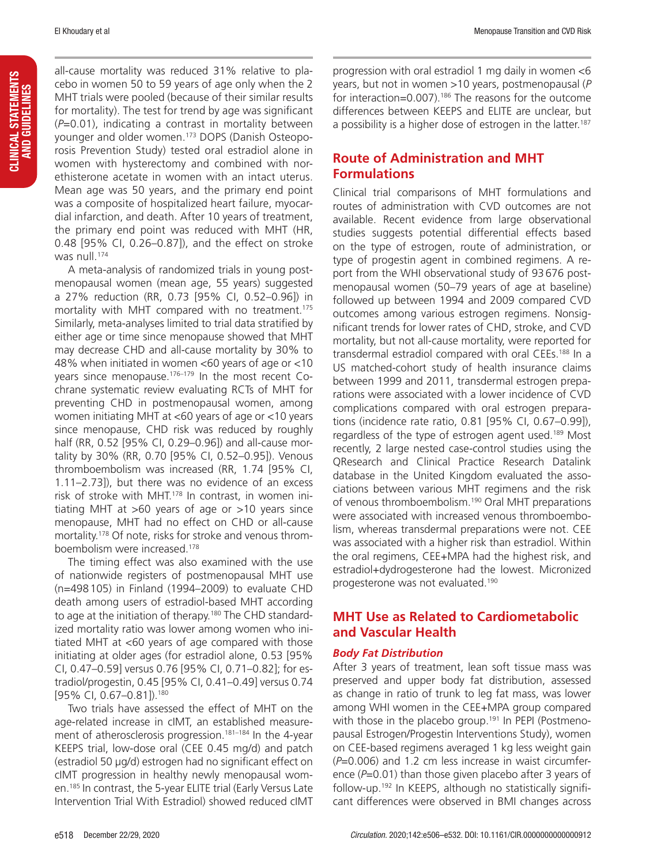all-cause mortality was reduced 31% relative to placebo in women 50 to 59 years of age only when the 2 MHT trials were pooled (because of their similar results for mortality). The test for trend by age was significant (*P*=0.01), indicating a contrast in mortality between younger and older women.173 DOPS (Danish Osteoporosis Prevention Study) tested oral estradiol alone in women with hysterectomy and combined with norethisterone acetate in women with an intact uterus. Mean age was 50 years, and the primary end point was a composite of hospitalized heart failure, myocardial infarction, and death. After 10 years of treatment, the primary end point was reduced with MHT (HR, 0.48 [95% CI, 0.26–0.87]), and the effect on stroke was null.174

A meta-analysis of randomized trials in young postmenopausal women (mean age, 55 years) suggested a 27% reduction (RR, 0.73 [95% CI, 0.52–0.96]) in mortality with MHT compared with no treatment.<sup>175</sup> Similarly, meta-analyses limited to trial data stratified by either age or time since menopause showed that MHT may decrease CHD and all-cause mortality by 30% to 48% when initiated in women <60 years of age or <10 years since menopause.<sup>176-179</sup> In the most recent Cochrane systematic review evaluating RCTs of MHT for preventing CHD in postmenopausal women, among women initiating MHT at <60 years of age or <10 years since menopause, CHD risk was reduced by roughly half (RR, 0.52 [95% CI, 0.29–0.96]) and all-cause mortality by 30% (RR, 0.70 [95% CI, 0.52–0.95]). Venous thromboembolism was increased (RR, 1.74 [95% CI, 1.11–2.73]), but there was no evidence of an excess risk of stroke with MHT.178 In contrast, in women initiating MHT at >60 years of age or >10 years since menopause, MHT had no effect on CHD or all-cause mortality.178 Of note, risks for stroke and venous thromboembolism were increased.178

The timing effect was also examined with the use of nationwide registers of postmenopausal MHT use (n=498105) in Finland (1994–2009) to evaluate CHD death among users of estradiol-based MHT according to age at the initiation of therapy.<sup>180</sup> The CHD standardized mortality ratio was lower among women who initiated MHT at <60 years of age compared with those initiating at older ages (for estradiol alone, 0.53 [95% CI, 0.47–0.59] versus 0.76 [95% CI, 0.71–0.82]; for estradiol/progestin, 0.45 [95% CI, 0.41–0.49] versus 0.74 [95% CI, 0.67-0.81]).<sup>180</sup>

Two trials have assessed the effect of MHT on the age-related increase in cIMT, an established measurement of atherosclerosis progression.<sup>181-184</sup> In the 4-year KEEPS trial, low-dose oral (CEE 0.45 mg/d) and patch (estradiol 50 μg/d) estrogen had no significant effect on cIMT progression in healthy newly menopausal women.185 In contrast, the 5-year ELITE trial (Early Versus Late Intervention Trial With Estradiol) showed reduced cIMT

progression with oral estradiol 1 mg daily in women <6 years, but not in women >10 years, postmenopausal (*P* for interaction=0.007).<sup>186</sup> The reasons for the outcome differences between KEEPS and ELITE are unclear, but a possibility is a higher dose of estrogen in the latter.<sup>187</sup>

#### **Route of Administration and MHT Formulations**

Clinical trial comparisons of MHT formulations and routes of administration with CVD outcomes are not available. Recent evidence from large observational studies suggests potential differential effects based on the type of estrogen, route of administration, or type of progestin agent in combined regimens. A report from the WHI observational study of 93676 postmenopausal women (50–79 years of age at baseline) followed up between 1994 and 2009 compared CVD outcomes among various estrogen regimens. Nonsignificant trends for lower rates of CHD, stroke, and CVD mortality, but not all-cause mortality, were reported for transdermal estradiol compared with oral CEEs.<sup>188</sup> In a US matched-cohort study of health insurance claims between 1999 and 2011, transdermal estrogen preparations were associated with a lower incidence of CVD complications compared with oral estrogen preparations (incidence rate ratio, 0.81 [95% CI, 0.67–0.99]), regardless of the type of estrogen agent used.<sup>189</sup> Most recently, 2 large nested case-control studies using the QResearch and Clinical Practice Research Datalink database in the United Kingdom evaluated the associations between various MHT regimens and the risk of venous thromboembolism.<sup>190</sup> Oral MHT preparations were associated with increased venous thromboembolism, whereas transdermal preparations were not. CEE was associated with a higher risk than estradiol. Within the oral regimens, CEE+MPA had the highest risk, and estradiol+dydrogesterone had the lowest. Micronized progesterone was not evaluated.190

## **MHT Use as Related to Cardiometabolic and Vascular Health**

#### *Body Fat Distribution*

After 3 years of treatment, lean soft tissue mass was preserved and upper body fat distribution, assessed as change in ratio of trunk to leg fat mass, was lower among WHI women in the CEE+MPA group compared with those in the placebo group.<sup>191</sup> In PEPI (Postmenopausal Estrogen/Progestin Interventions Study), women on CEE-based regimens averaged 1 kg less weight gain (*P*=0.006) and 1.2 cm less increase in waist circumference (*P*=0.01) than those given placebo after 3 years of follow-up.192 In KEEPS, although no statistically significant differences were observed in BMI changes across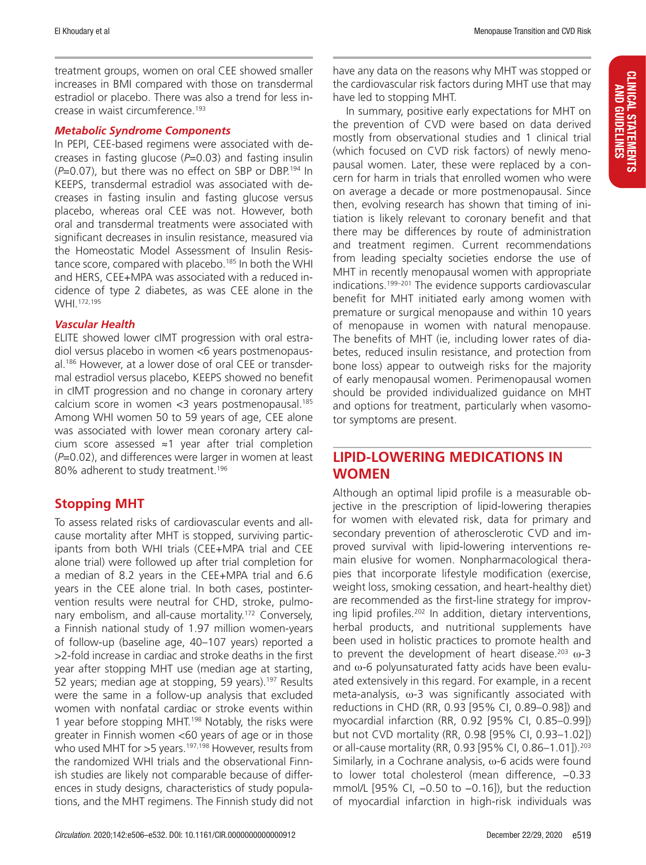treatment groups, women on oral CEE showed smaller increases in BMI compared with those on transdermal estradiol or placebo. There was also a trend for less increase in waist circumference.193

#### *Metabolic Syndrome Components*

In PEPI, CEE-based regimens were associated with decreases in fasting glucose (*P*=0.03) and fasting insulin (*P*=0.07), but there was no effect on SBP or DBP.194 In KEEPS, transdermal estradiol was associated with decreases in fasting insulin and fasting glucose versus placebo, whereas oral CEE was not. However, both oral and transdermal treatments were associated with significant decreases in insulin resistance, measured via the Homeostatic Model Assessment of Insulin Resistance score, compared with placebo.<sup>185</sup> In both the WHI and HERS, CEE+MPA was associated with a reduced incidence of type 2 diabetes, as was CEE alone in the WHI.<sup>172,195</sup>

#### *Vascular Health*

ELITE showed lower cIMT progression with oral estradiol versus placebo in women <6 years postmenopausal.186 However, at a lower dose of oral CEE or transdermal estradiol versus placebo, KEEPS showed no benefit in cIMT progression and no change in coronary artery calcium score in women  $<$ 3 years postmenopausal.<sup>185</sup> Among WHI women 50 to 59 years of age, CEE alone was associated with lower mean coronary artery calcium score assessed ≈1 year after trial completion (*P*=0.02), and differences were larger in women at least 80% adherent to study treatment.<sup>196</sup>

#### **Stopping MHT**

To assess related risks of cardiovascular events and allcause mortality after MHT is stopped, surviving participants from both WHI trials (CEE+MPA trial and CEE alone trial) were followed up after trial completion for a median of 8.2 years in the CEE+MPA trial and 6.6 years in the CEE alone trial. In both cases, postintervention results were neutral for CHD, stroke, pulmonary embolism, and all-cause mortality.<sup>172</sup> Conversely, a Finnish national study of 1.97 million women-years of follow-up (baseline age, 40–107 years) reported a >2-fold increase in cardiac and stroke deaths in the first year after stopping MHT use (median age at starting, 52 years; median age at stopping, 59 years).<sup>197</sup> Results were the same in a follow-up analysis that excluded women with nonfatal cardiac or stroke events within 1 year before stopping MHT.<sup>198</sup> Notably, the risks were greater in Finnish women <60 years of age or in those who used MHT for >5 years.<sup>197,198</sup> However, results from the randomized WHI trials and the observational Finnish studies are likely not comparable because of differences in study designs, characteristics of study populations, and the MHT regimens. The Finnish study did not have any data on the reasons why MHT was stopped or the cardiovascular risk factors during MHT use that may have led to stopping MHT.

In summary, positive early expectations for MHT on the prevention of CVD were based on data derived mostly from observational studies and 1 clinical trial (which focused on CVD risk factors) of newly menopausal women. Later, these were replaced by a concern for harm in trials that enrolled women who were on average a decade or more postmenopausal. Since then, evolving research has shown that timing of initiation is likely relevant to coronary benefit and that there may be differences by route of administration and treatment regimen. Current recommendations from leading specialty societies endorse the use of MHT in recently menopausal women with appropriate indications.199–201 The evidence supports cardiovascular benefit for MHT initiated early among women with premature or surgical menopause and within 10 years of menopause in women with natural menopause. The benefits of MHT (ie, including lower rates of diabetes, reduced insulin resistance, and protection from bone loss) appear to outweigh risks for the majority of early menopausal women. Perimenopausal women should be provided individualized guidance on MHT and options for treatment, particularly when vasomotor symptoms are present.

## **LIPID-LOWERING MEDICATIONS IN WOMEN**

Although an optimal lipid profile is a measurable objective in the prescription of lipid-lowering therapies for women with elevated risk, data for primary and secondary prevention of atherosclerotic CVD and improved survival with lipid-lowering interventions remain elusive for women. Nonpharmacological therapies that incorporate lifestyle modification (exercise, weight loss, smoking cessation, and heart-healthy diet) are recommended as the first-line strategy for improving lipid profiles.202 In addition, dietary interventions, herbal products, and nutritional supplements have been used in holistic practices to promote health and to prevent the development of heart disease.<sup>203</sup> ω-3 and  $\omega$ -6 polyunsaturated fatty acids have been evaluated extensively in this regard. For example, in a recent meta-analysis, ω-3 was significantly associated with reductions in CHD (RR, 0.93 [95% CI, 0.89–0.98]) and myocardial infarction (RR, 0.92 [95% CI, 0.85–0.99]) but not CVD mortality (RR, 0.98 [95% CI, 0.93–1.02]) or all-cause mortality (RR, 0.93 [95% CI, 0.86–1.01]).203 Similarly, in a Cochrane analysis,  $\omega$ -6 acids were found to lower total cholesterol (mean difference, −0.33 mmol/L [95% CI, −0.50 to −0.16]), but the reduction of myocardial infarction in high-risk individuals was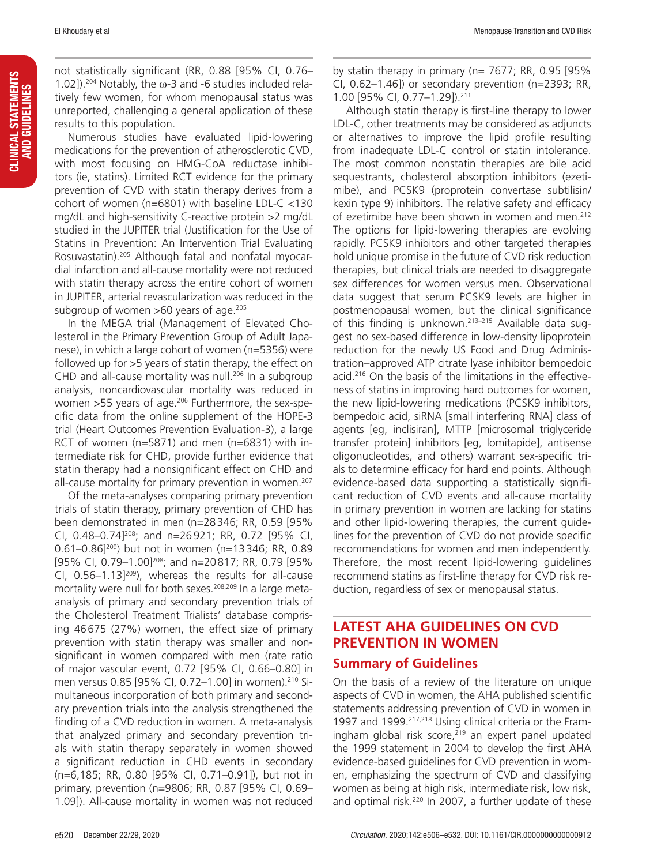not statistically significant (RR, 0.88 [95% CI, 0.76– 1.02]).<sup>204</sup> Notably, the  $\omega$ -3 and -6 studies included relatively few women, for whom menopausal status was unreported, challenging a general application of these results to this population.

Numerous studies have evaluated lipid-lowering medications for the prevention of atherosclerotic CVD, with most focusing on HMG-CoA reductase inhibitors (ie, statins). Limited RCT evidence for the primary prevention of CVD with statin therapy derives from a cohort of women (n=6801) with baseline LDL-C <130 mg/dL and high-sensitivity C-reactive protein >2 mg/dL studied in the JUPITER trial (Justification for the Use of Statins in Prevention: An Intervention Trial Evaluating Rosuvastatin).205 Although fatal and nonfatal myocardial infarction and all-cause mortality were not reduced with statin therapy across the entire cohort of women in JUPITER, arterial revascularization was reduced in the subgroup of women >60 years of age.<sup>205</sup>

In the MEGA trial (Management of Elevated Cholesterol in the Primary Prevention Group of Adult Japanese), in which a large cohort of women (n=5356) were followed up for >5 years of statin therapy, the effect on CHD and all-cause mortality was null.<sup>206</sup> In a subgroup analysis, noncardiovascular mortality was reduced in women >55 years of age.<sup>206</sup> Furthermore, the sex-specific data from the online supplement of the HOPE-3 trial (Heart Outcomes Prevention Evaluation-3), a large RCT of women (n=5871) and men (n=6831) with intermediate risk for CHD, provide further evidence that statin therapy had a nonsignificant effect on CHD and all-cause mortality for primary prevention in women.<sup>207</sup>

Of the meta-analyses comparing primary prevention trials of statin therapy, primary prevention of CHD has been demonstrated in men (n=28346; RR, 0.59 [95% CI, 0.48–0.74]208; and n=26921; RR, 0.72 [95% CI, 0.61-0.86]<sup>209</sup>) but not in women (n=13346; RR, 0.89 [95% CI, 0.79-1.00]<sup>208</sup>; and n=20817; RR, 0.79 [95% CI,  $0.56-1.13]^{209}$ ), whereas the results for all-cause mortality were null for both sexes.<sup>208,209</sup> In a large metaanalysis of primary and secondary prevention trials of the Cholesterol Treatment Trialists' database comprising 46675 (27%) women, the effect size of primary prevention with statin therapy was smaller and nonsignificant in women compared with men (rate ratio of major vascular event, 0.72 [95% CI, 0.66–0.80] in men versus 0.85 [95% CI, 0.72–1.00] in women).210 Simultaneous incorporation of both primary and secondary prevention trials into the analysis strengthened the finding of a CVD reduction in women. A meta-analysis that analyzed primary and secondary prevention trials with statin therapy separately in women showed a significant reduction in CHD events in secondary (n=6,185; RR, 0.80 [95% CI, 0.71–0.91]), but not in primary, prevention (n=9806; RR, 0.87 [95% CI, 0.69– 1.09]). All-cause mortality in women was not reduced

by statin therapy in primary ( $n= 7677$ ; RR, 0.95 [95% CI, 0.62–1.46]) or secondary prevention (n=2393; RR, 1.00 [95% CI, 0.77–1.29]).211

Although statin therapy is first-line therapy to lower LDL-C, other treatments may be considered as adjuncts or alternatives to improve the lipid profile resulting from inadequate LDL-C control or statin intolerance. The most common nonstatin therapies are bile acid sequestrants, cholesterol absorption inhibitors (ezetimibe), and PCSK9 (proprotein convertase subtilisin/ kexin type 9) inhibitors. The relative safety and efficacy of ezetimibe have been shown in women and men.<sup>212</sup> The options for lipid-lowering therapies are evolving rapidly. PCSK9 inhibitors and other targeted therapies hold unique promise in the future of CVD risk reduction therapies, but clinical trials are needed to disaggregate sex differences for women versus men. Observational data suggest that serum PCSK9 levels are higher in postmenopausal women, but the clinical significance of this finding is unknown.213–215 Available data suggest no sex-based difference in low-density lipoprotein reduction for the newly US Food and Drug Administration–approved ATP citrate lyase inhibitor bempedoic acid.<sup>216</sup> On the basis of the limitations in the effectiveness of statins in improving hard outcomes for women, the new lipid-lowering medications (PCSK9 inhibitors, bempedoic acid, siRNA [small interfering RNA] class of agents [eg, inclisiran], MTTP [microsomal triglyceride transfer protein] inhibitors [eg, lomitapide], antisense oligonucleotides, and others) warrant sex-specific trials to determine efficacy for hard end points. Although evidence-based data supporting a statistically significant reduction of CVD events and all-cause mortality in primary prevention in women are lacking for statins and other lipid-lowering therapies, the current guidelines for the prevention of CVD do not provide specific recommendations for women and men independently. Therefore, the most recent lipid-lowering guidelines recommend statins as first-line therapy for CVD risk reduction, regardless of sex or menopausal status.

## **LATEST AHA GUIDELINES ON CVD PREVENTION IN WOMEN**

#### **Summary of Guidelines**

On the basis of a review of the literature on unique aspects of CVD in women, the AHA published scientific statements addressing prevention of CVD in women in 1997 and 1999.<sup>217,218</sup> Using clinical criteria or the Framingham global risk score,<sup>219</sup> an expert panel updated the 1999 statement in 2004 to develop the first AHA evidence-based guidelines for CVD prevention in women, emphasizing the spectrum of CVD and classifying women as being at high risk, intermediate risk, low risk, and optimal risk. $220$  In 2007, a further update of these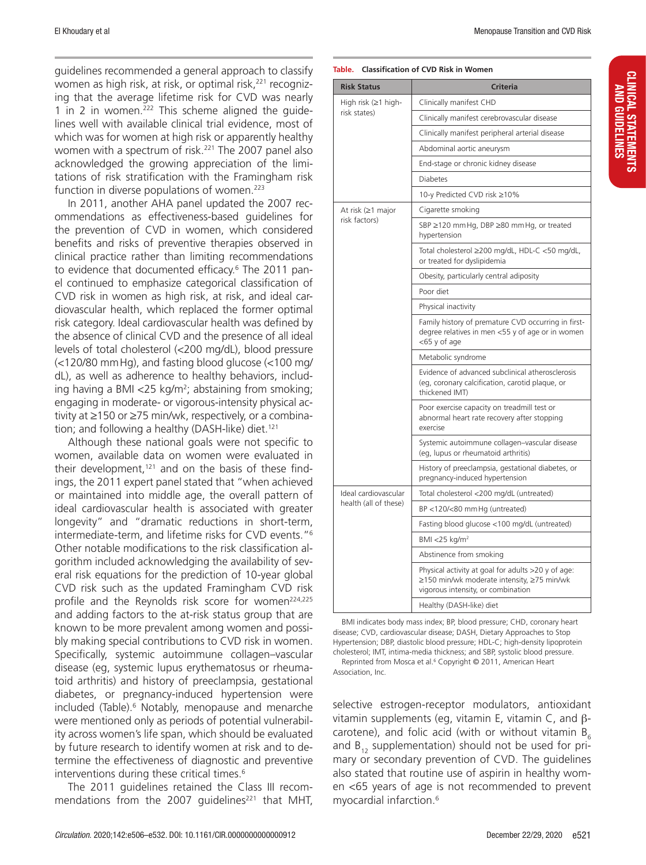guidelines recommended a general approach to classify women as high risk, at risk, or optimal risk,<sup>221</sup> recognizing that the average lifetime risk for CVD was nearly 1 in 2 in women.222 This scheme aligned the guidelines well with available clinical trial evidence, most of which was for women at high risk or apparently healthy women with a spectrum of risk.<sup>221</sup> The 2007 panel also acknowledged the growing appreciation of the limitations of risk stratification with the Framingham risk function in diverse populations of women.<sup>223</sup>

In 2011, another AHA panel updated the 2007 recommendations as effectiveness-based guidelines for the prevention of CVD in women, which considered benefits and risks of preventive therapies observed in clinical practice rather than limiting recommendations to evidence that documented efficacy.6 The 2011 panel continued to emphasize categorical classification of CVD risk in women as high risk, at risk, and ideal cardiovascular health, which replaced the former optimal risk category. Ideal cardiovascular health was defined by the absence of clinical CVD and the presence of all ideal levels of total cholesterol (<200 mg/dL), blood pressure (<120/80 mmHg), and fasting blood glucose (<100 mg/ dL), as well as adherence to healthy behaviors, including having a BMI <25 kg/m<sup>2</sup>; abstaining from smoking; engaging in moderate- or vigorous-intensity physical activity at ≥150 or ≥75 min/wk, respectively, or a combination; and following a healthy (DASH-like) diet.<sup>121</sup>

Although these national goals were not specific to women, available data on women were evaluated in their development, $121$  and on the basis of these findings, the 2011 expert panel stated that "when achieved or maintained into middle age, the overall pattern of ideal cardiovascular health is associated with greater longevity" and "dramatic reductions in short-term, intermediate-term, and lifetime risks for CVD events."6 Other notable modifications to the risk classification algorithm included acknowledging the availability of several risk equations for the prediction of 10-year global CVD risk such as the updated Framingham CVD risk profile and the Reynolds risk score for women<sup>224,225</sup> and adding factors to the at-risk status group that are known to be more prevalent among women and possibly making special contributions to CVD risk in women. Specifically, systemic autoimmune collagen–vascular disease (eg, systemic lupus erythematosus or rheumatoid arthritis) and history of preeclampsia, gestational diabetes, or pregnancy-induced hypertension were included (Table).6 Notably, menopause and menarche were mentioned only as periods of potential vulnerability across women's life span, which should be evaluated by future research to identify women at risk and to determine the effectiveness of diagnostic and preventive interventions during these critical times.<sup>6</sup>

The 2011 guidelines retained the Class III recommendations from the 2007 guidelines<sup>221</sup> that MHT,

#### **Table. Classification of CVD Risk in Women**

| <b>Risk Status</b>                        | <b>Criteria</b>                                                                                                                        |  |  |  |  |
|-------------------------------------------|----------------------------------------------------------------------------------------------------------------------------------------|--|--|--|--|
| High risk $(\geq 1$ high-<br>risk states) | Clinically manifest CHD                                                                                                                |  |  |  |  |
|                                           | Clinically manifest cerebrovascular disease                                                                                            |  |  |  |  |
|                                           | Clinically manifest peripheral arterial disease                                                                                        |  |  |  |  |
|                                           | Abdominal aortic aneurysm                                                                                                              |  |  |  |  |
|                                           | End-stage or chronic kidney disease                                                                                                    |  |  |  |  |
|                                           | Diabetes                                                                                                                               |  |  |  |  |
|                                           | 10-y Predicted CVD risk ≥10%                                                                                                           |  |  |  |  |
| At risk (≥1 major                         | Cigarette smoking                                                                                                                      |  |  |  |  |
| risk factors)                             | SBP ≥120 mm Hg, DBP ≥80 mm Hg, or treated<br>hypertension                                                                              |  |  |  |  |
|                                           | Total cholesterol ≥200 mg/dL, HDL-C <50 mg/dL,<br>or treated for dyslipidemia                                                          |  |  |  |  |
|                                           | Obesity, particularly central adiposity                                                                                                |  |  |  |  |
|                                           | Poor diet                                                                                                                              |  |  |  |  |
|                                           | Physical inactivity                                                                                                                    |  |  |  |  |
|                                           | Family history of premature CVD occurring in first-<br>degree relatives in men <55 y of age or in women<br><65 y of age                |  |  |  |  |
|                                           | Metabolic syndrome                                                                                                                     |  |  |  |  |
|                                           | Evidence of advanced subclinical atherosclerosis<br>(eg, coronary calcification, carotid plaque, or<br>thickened IMT)                  |  |  |  |  |
|                                           | Poor exercise capacity on treadmill test or<br>abnormal heart rate recovery after stopping<br>exercise                                 |  |  |  |  |
|                                           | Systemic autoimmune collagen-vascular disease<br>(eg, lupus or rheumatoid arthritis)                                                   |  |  |  |  |
|                                           | History of preeclampsia, gestational diabetes, or<br>pregnancy-induced hypertension                                                    |  |  |  |  |
| Ideal cardiovascular                      | Total cholesterol <200 mg/dL (untreated)                                                                                               |  |  |  |  |
| health (all of these)                     | BP <120/<80 mm Hg (untreated)                                                                                                          |  |  |  |  |
|                                           | Fasting blood glucose <100 mg/dL (untreated)                                                                                           |  |  |  |  |
|                                           | BMI <25 kg/ $m2$                                                                                                                       |  |  |  |  |
|                                           | Abstinence from smoking                                                                                                                |  |  |  |  |
|                                           | Physical activity at goal for adults >20 y of age:<br>≥150 min/wk moderate intensity, ≥75 min/wk<br>vigorous intensity, or combination |  |  |  |  |
|                                           | Healthy (DASH-like) diet                                                                                                               |  |  |  |  |

BMI indicates body mass index; BP, blood pressure; CHD, coronary heart disease; CVD, cardiovascular disease; DASH, Dietary Approaches to Stop Hypertension; DBP, diastolic blood pressure; HDL-C; high-density lipoprotein cholesterol; IMT, intima-media thickness; and SBP, systolic blood pressure. Reprinted from Mosca et al.<sup>6</sup> Copyright © 2011, American Heart

Association, Inc.

selective estrogen-receptor modulators, antioxidant vitamin supplements (eg, vitamin E, vitamin C, and βcarotene), and folic acid (with or without vitamin  $B_6$ and  $B_{12}$  supplementation) should not be used for primary or secondary prevention of CVD. The guidelines also stated that routine use of aspirin in healthy women <65 years of age is not recommended to prevent myocardial infarction.6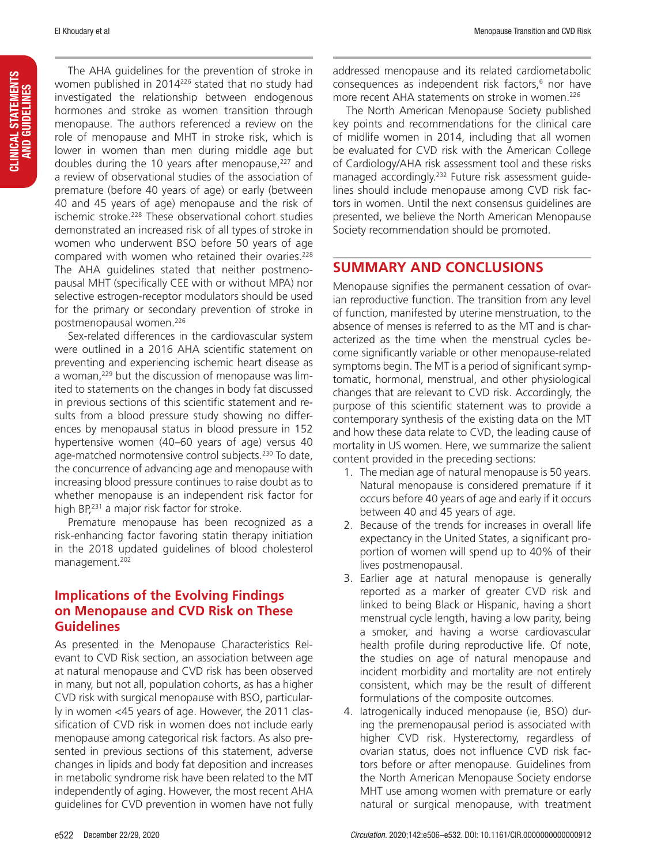The AHA guidelines for the prevention of stroke in women published in 2014226 stated that no study had investigated the relationship between endogenous hormones and stroke as women transition through menopause. The authors referenced a review on the role of menopause and MHT in stroke risk, which is lower in women than men during middle age but doubles during the 10 years after menopause, $227$  and a review of observational studies of the association of premature (before 40 years of age) or early (between 40 and 45 years of age) menopause and the risk of ischemic stroke.<sup>228</sup> These observational cohort studies demonstrated an increased risk of all types of stroke in women who underwent BSO before 50 years of age compared with women who retained their ovaries.<sup>228</sup> The AHA guidelines stated that neither postmenopausal MHT (specifically CEE with or without MPA) nor selective estrogen-receptor modulators should be used for the primary or secondary prevention of stroke in postmenopausal women.226

Sex-related differences in the cardiovascular system were outlined in a 2016 AHA scientific statement on preventing and experiencing ischemic heart disease as a woman,<sup>229</sup> but the discussion of menopause was limited to statements on the changes in body fat discussed in previous sections of this scientific statement and results from a blood pressure study showing no differences by menopausal status in blood pressure in 152 hypertensive women (40–60 years of age) versus 40 age-matched normotensive control subjects.<sup>230</sup> To date, the concurrence of advancing age and menopause with increasing blood pressure continues to raise doubt as to whether menopause is an independent risk factor for high BP,<sup>231</sup> a major risk factor for stroke.

Premature menopause has been recognized as a risk-enhancing factor favoring statin therapy initiation in the 2018 updated guidelines of blood cholesterol management.202

## **Implications of the Evolving Findings on Menopause and CVD Risk on These Guidelines**

As presented in the Menopause Characteristics Relevant to CVD Risk section, an association between age at natural menopause and CVD risk has been observed in many, but not all, population cohorts, as has a higher CVD risk with surgical menopause with BSO, particularly in women <45 years of age. However, the 2011 classification of CVD risk in women does not include early menopause among categorical risk factors. As also presented in previous sections of this statement, adverse changes in lipids and body fat deposition and increases in metabolic syndrome risk have been related to the MT independently of aging. However, the most recent AHA guidelines for CVD prevention in women have not fully addressed menopause and its related cardiometabolic consequences as independent risk factors,<sup>6</sup> nor have more recent AHA statements on stroke in women.<sup>226</sup>

The North American Menopause Society published key points and recommendations for the clinical care of midlife women in 2014, including that all women be evaluated for CVD risk with the American College of Cardiology/AHA risk assessment tool and these risks managed accordingly.<sup>232</sup> Future risk assessment guidelines should include menopause among CVD risk factors in women. Until the next consensus guidelines are presented, we believe the North American Menopause Society recommendation should be promoted.

## **SUMMARY AND CONCLUSIONS**

Menopause signifies the permanent cessation of ovarian reproductive function. The transition from any level of function, manifested by uterine menstruation, to the absence of menses is referred to as the MT and is characterized as the time when the menstrual cycles become significantly variable or other menopause-related symptoms begin. The MT is a period of significant symptomatic, hormonal, menstrual, and other physiological changes that are relevant to CVD risk. Accordingly, the purpose of this scientific statement was to provide a contemporary synthesis of the existing data on the MT and how these data relate to CVD, the leading cause of mortality in US women. Here, we summarize the salient content provided in the preceding sections:

- 1. The median age of natural menopause is 50 years. Natural menopause is considered premature if it occurs before 40 years of age and early if it occurs between 40 and 45 years of age.
- 2. Because of the trends for increases in overall life expectancy in the United States, a significant proportion of women will spend up to 40% of their lives postmenopausal.
- 3. Earlier age at natural menopause is generally reported as a marker of greater CVD risk and linked to being Black or Hispanic, having a short menstrual cycle length, having a low parity, being a smoker, and having a worse cardiovascular health profile during reproductive life. Of note, the studies on age of natural menopause and incident morbidity and mortality are not entirely consistent, which may be the result of different formulations of the composite outcomes.
- 4. Iatrogenically induced menopause (ie, BSO) during the premenopausal period is associated with higher CVD risk. Hysterectomy, regardless of ovarian status, does not influence CVD risk factors before or after menopause. Guidelines from the North American Menopause Society endorse MHT use among women with premature or early natural or surgical menopause, with treatment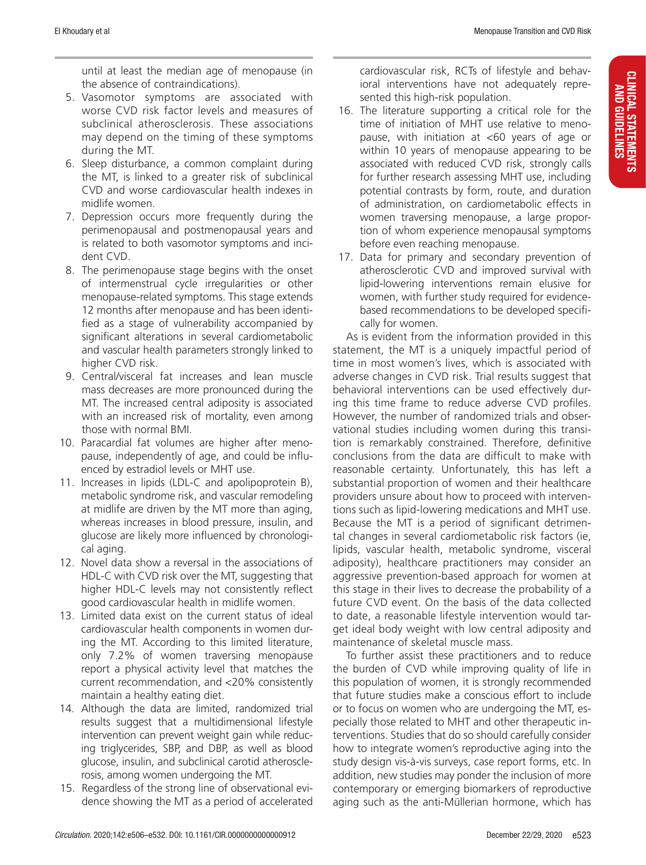until at least the median age of menopause (in the absence of contraindications).

- 5. Vasomotor symptoms are associated with worse CVD risk factor levels and measures of subclinical atherosclerosis. These associations may depend on the timing of these symptoms during the MT.
- 6. Sleep disturbance, a common complaint during the MT, is linked to a greater risk of subclinical CVD and worse cardiovascular health indexes in midlife women.
- 7. Depression occurs more frequently during the perimenopausal and postmenopausal years and is related to both vasomotor symptoms and incident CVD.
- 8. The perimenopause stage begins with the onset of intermenstrual cycle irregularities or other menopause-related symptoms. This stage extends 12 months after menopause and has been identified as a stage of vulnerability accompanied by significant alterations in several cardiometabolic and vascular health parameters strongly linked to higher CVD risk.
- 9. Central/visceral fat increases and lean muscle mass decreases are more pronounced during the MT. The increased central adiposity is associated with an increased risk of mortality, even among those with normal BMI.
- 10. Paracardial fat volumes are higher after menopause, independently of age, and could be influenced by estradiol levels or MHT use.
- 11. Increases in lipids (LDL-C and apolipoprotein B), metabolic syndrome risk, and vascular remodeling at midlife are driven by the MT more than aging, whereas increases in blood pressure, insulin, and glucose are likely more influenced by chronological aging.
- 12. Novel data show a reversal in the associations of HDL-C with CVD risk over the MT, suggesting that higher HDL-C levels may not consistently reflect good cardiovascular health in midlife women.
- 13. Limited data exist on the current status of ideal cardiovascular health components in women during the MT. According to this limited literature, only 7.2% of women traversing menopause report a physical activity level that matches the current recommendation, and <20% consistently maintain a healthy eating diet.
- 14. Although the data are limited, randomized trial results suggest that a multidimensional lifestyle intervention can prevent weight gain while reducing triglycerides, SBP, and DBP, as well as blood glucose, insulin, and subclinical carotid atherosclerosis, among women undergoing the MT.
- 15. Regardless of the strong line of observational evidence showing the MT as a period of accelerated

cardiovascular risk, RCTs of lifestyle and behavioral interventions have not adequately represented this high-risk population.

- 16. The literature supporting a critical role for the time of initiation of MHT use relative to menopause, with initiation at <60 years of age or within 10 years of menopause appearing to be associated with reduced CVD risk, strongly calls for further research assessing MHT use, including potential contrasts by form, route, and duration of administration, on cardiometabolic effects in women traversing menopause, a large proportion of whom experience menopausal symptoms before even reaching menopause.
- 17. Data for primary and secondary prevention of atherosclerotic CVD and improved survival with lipid-lowering interventions remain elusive for women, with further study required for evidencebased recommendations to be developed specifically for women.

As is evident from the information provided in this statement, the MT is a uniquely impactful period of time in most women's lives, which is associated with adverse changes in CVD risk. Trial results suggest that behavioral interventions can be used effectively during this time frame to reduce adverse CVD profiles. However, the number of randomized trials and observational studies including women during this transition is remarkably constrained. Therefore, definitive conclusions from the data are difficult to make with reasonable certainty. Unfortunately, this has left a substantial proportion of women and their healthcare providers unsure about how to proceed with interventions such as lipid-lowering medications and MHT use. Because the MT is a period of significant detrimental changes in several cardiometabolic risk factors (ie, lipids, vascular health, metabolic syndrome, visceral adiposity), healthcare practitioners may consider an aggressive prevention-based approach for women at this stage in their lives to decrease the probability of a future CVD event. On the basis of the data collected to date, a reasonable lifestyle intervention would target ideal body weight with low central adiposity and maintenance of skeletal muscle mass.

To further assist these practitioners and to reduce the burden of CVD while improving quality of life in this population of women, it is strongly recommended that future studies make a conscious effort to include or to focus on women who are undergoing the MT, especially those related to MHT and other therapeutic interventions. Studies that do so should carefully consider how to integrate women's reproductive aging into the study design vis-à-vis surveys, case report forms, etc. In addition, new studies may ponder the inclusion of more contemporary or emerging biomarkers of reproductive aging such as the anti-Müllerian hormone, which has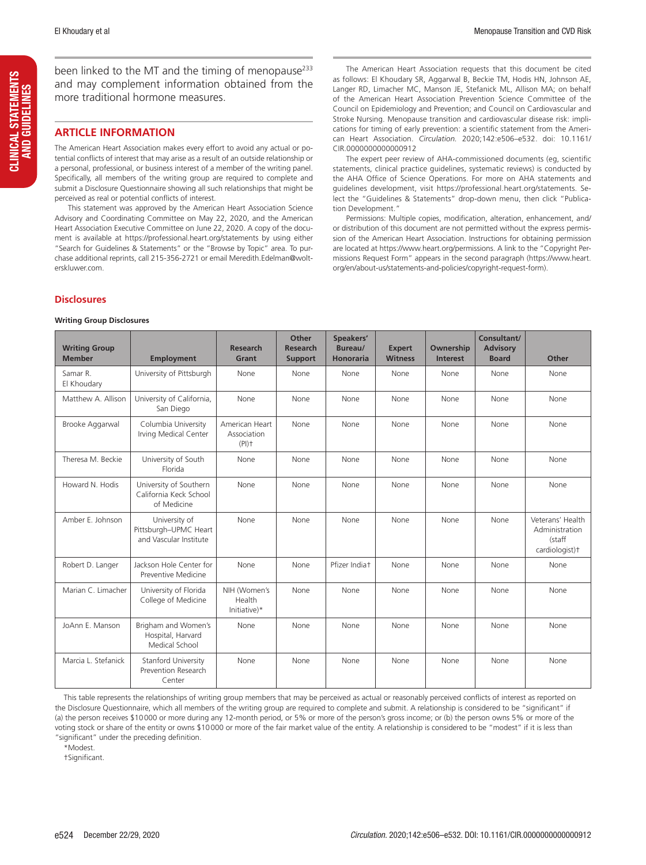been linked to the MT and the timing of menopause $^{233}$ and may complement information obtained from the more traditional hormone measures.

#### **ARTICLE INFORMATION**

The American Heart Association makes every effort to avoid any actual or potential conflicts of interest that may arise as a result of an outside relationship or a personal, professional, or business interest of a member of the writing panel. Specifically, all members of the writing group are required to complete and submit a Disclosure Questionnaire showing all such relationships that might be perceived as real or potential conflicts of interest.

This statement was approved by the American Heart Association Science Advisory and Coordinating Committee on May 22, 2020, and the American Heart Association Executive Committee on June 22, 2020. A copy of the document is available at https://professional.heart.org/statements by using either "Search for Guidelines & Statements" or the "Browse by Topic" area. To purchase additional reprints, call 215-356-2721 or email [Meredith.Edelman@wolt](mailto:Meredith.Edelman@wolterskluwer.com)[erskluwer.com](mailto:Meredith.Edelman@wolterskluwer.com).

**Disclosures**

#### **Writing Group Disclosures**

The American Heart Association requests that this document be cited as follows: El Khoudary SR, Aggarwal B, Beckie TM, Hodis HN, Johnson AE, Langer RD, Limacher MC, Manson JE, Stefanick ML, Allison MA; on behalf of the American Heart Association Prevention Science Committee of the Council on Epidemiology and Prevention; and Council on Cardiovascular and Stroke Nursing. Menopause transition and cardiovascular disease risk: implications for timing of early prevention: a scientific statement from the American Heart Association. *Circulation.* 2020;142:e506–e532. doi: 10.1161/ CIR.0000000000000912

The expert peer review of AHA-commissioned documents (eg, scientific statements, clinical practice guidelines, systematic reviews) is conducted by the AHA Office of Science Operations. For more on AHA statements and guidelines development, visit https://professional.heart.org/statements. Select the "Guidelines & Statements" drop-down menu, then click "Publication Development."

Permissions: Multiple copies, modification, alteration, enhancement, and/ or distribution of this document are not permitted without the express permission of the American Heart Association. Instructions for obtaining permission are located at https://www.heart.org/permissions. A link to the "Copyright Permissions Request Form" appears in the second paragraph (https://www.heart. org/en/about-us/statements-and-policies/copyright-request-form).

| <b>Writing Group</b><br><b>Member</b> | <b>Employment</b>                                                | <b>Research</b><br>Grant                             | Other<br><b>Research</b><br><b>Support</b> | Speakers'<br>Bureau/<br><b>Honoraria</b> | <b>Expert</b><br><b>Witness</b> | Ownership<br>Interest | Consultant/<br><b>Advisory</b><br><b>Board</b> | Other                                                          |
|---------------------------------------|------------------------------------------------------------------|------------------------------------------------------|--------------------------------------------|------------------------------------------|---------------------------------|-----------------------|------------------------------------------------|----------------------------------------------------------------|
| Samar R.<br>El Khoudary               | University of Pittsburgh                                         | None                                                 | None                                       | None                                     | None                            | None                  | None                                           | None                                                           |
| Matthew A. Allison                    | University of California,<br>San Diego                           | None                                                 | None                                       | None                                     | None                            | None                  | None                                           | None                                                           |
| Brooke Aggarwal                       | Columbia University<br>Irving Medical Center                     | American Heart<br>Association<br>$(PI)$ <sup>+</sup> | None                                       | None                                     | None                            | None                  | None                                           | None                                                           |
| Theresa M. Beckie                     | University of South<br>Florida                                   | None                                                 | None                                       | None                                     | None                            | None                  | None                                           | None                                                           |
| Howard N. Hodis                       | University of Southern<br>California Keck School<br>of Medicine  | None                                                 | None                                       | None                                     | None                            | None                  | None                                           | None                                                           |
| Amber E. Johnson                      | University of<br>Pittsburgh-UPMC Heart<br>and Vascular Institute | None                                                 | None                                       | None                                     | None                            | None                  | None                                           | Veterans' Health<br>Administration<br>(staff<br>cardiologist)+ |
| Robert D. Langer                      | Jackson Hole Center for<br>Preventive Medicine                   | None                                                 | None                                       | Pfizer Indiat                            | None                            | None                  | None                                           | None                                                           |
| Marian C. Limacher                    | University of Florida<br>College of Medicine                     | NIH (Women's<br>Health<br>Initiative)*               | None                                       | None                                     | None                            | None                  | None                                           | None                                                           |
| JoAnn E. Manson                       | Brigham and Women's<br>Hospital, Harvard<br>Medical School       | None                                                 | None                                       | None                                     | None                            | None                  | None                                           | None                                                           |
| Marcia L. Stefanick                   | <b>Stanford University</b><br>Prevention Research<br>Center      | None                                                 | None                                       | None                                     | None                            | None                  | None                                           | None                                                           |

This table represents the relationships of writing group members that may be perceived as actual or reasonably perceived conflicts of interest as reported on the Disclosure Questionnaire, which all members of the writing group are required to complete and submit. A relationship is considered to be "significant" if (a) the person receives \$10000 or more during any 12-month period, or 5% or more of the person's gross income; or (b) the person owns 5% or more of the voting stock or share of the entity or owns \$10000 or more of the fair market value of the entity. A relationship is considered to be "modest" if it is less than "significant" under the preceding definition.

\*Modest.

†Significant.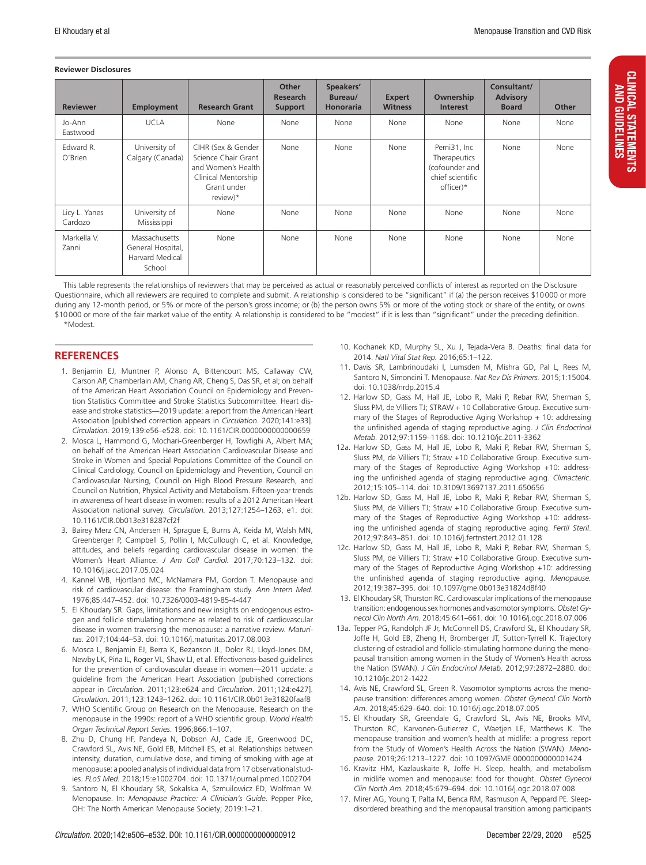#### **Reviewer Disclosures**

| <b>Reviewer</b>          | <b>Employment</b>                                               | <b>Research Grant</b>                                                                                             | Other<br>Research<br><b>Support</b> | Speakers'<br>Bureau/<br><b>Honoraria</b> | <b>Expert</b><br><b>Witness</b> | Ownership<br><b>Interest</b>                                                   | Consultant/<br><b>Advisory</b><br><b>Board</b> | <b>Other</b> |
|--------------------------|-----------------------------------------------------------------|-------------------------------------------------------------------------------------------------------------------|-------------------------------------|------------------------------------------|---------------------------------|--------------------------------------------------------------------------------|------------------------------------------------|--------------|
| Jo-Ann<br>Eastwood       | <b>UCLA</b>                                                     | None                                                                                                              | None                                | None                                     | None                            | None                                                                           | None                                           | None         |
| Edward R.<br>O'Brien     | University of<br>Calgary (Canada)                               | CIHR (Sex & Gender<br>Science Chair Grant<br>and Women's Health<br>Clinical Mentorship<br>Grant under<br>review)* | None                                | None                                     | None                            | Pemi31, Inc<br>Therapeutics<br>(cofounder and<br>chief scientific<br>officer)* | None                                           | None         |
| Licy L. Yanes<br>Cardozo | University of<br>Mississippi                                    | None                                                                                                              | None                                | None                                     | None                            | None                                                                           | None                                           | None         |
| Markella V.<br>Zanni     | Massachusetts<br>General Hospital,<br>Harvard Medical<br>School | None                                                                                                              | None                                | None                                     | None                            | None                                                                           | None                                           | None         |

This table represents the relationships of reviewers that may be perceived as actual or reasonably perceived conflicts of interest as reported on the Disclosure Questionnaire, which all reviewers are required to complete and submit. A relationship is considered to be "significant" if (a) the person receives \$10000 or more during any 12-month period, or 5% or more of the person's gross income; or (b) the person owns 5% or more of the voting stock or share of the entity, or owns \$10000 or more of the fair market value of the entity. A relationship is considered to be "modest" if it is less than "significant" under the preceding definition.

\*Modest.

#### **REFERENCES**

- 1. Benjamin EJ, Muntner P, Alonso A, Bittencourt MS, Callaway CW, Carson AP, Chamberlain AM, Chang AR, Cheng S, Das SR, et al; on behalf of the American Heart Association Council on Epidemiology and Prevention Statistics Committee and Stroke Statistics Subcommittee. Heart disease and stroke statistics—2019 update: a report from the American Heart Association [published correction appears in *Circulation*. 2020;141:e33]. *Circulation.* 2019;139:e56–e528. doi: 10.1161/CIR.0000000000000659
- 2. Mosca L, Hammond G, Mochari-Greenberger H, Towfighi A, Albert MA; on behalf of the American Heart Association Cardiovascular Disease and Stroke in Women and Special Populations Committee of the Council on Clinical Cardiology, Council on Epidemiology and Prevention, Council on Cardiovascular Nursing, Council on High Blood Pressure Research, and Council on Nutrition, Physical Activity and Metabolism. Fifteen-year trends in awareness of heart disease in women: results of a 2012 American Heart Association national survey. *Circulation.* 2013;127:1254–1263, e1. doi: 10.1161/CIR.0b013e318287cf2f
- 3. Bairey Merz CN, Andersen H, Sprague E, Burns A, Keida M, Walsh MN, Greenberger P, Campbell S, Pollin I, McCullough C, et al. Knowledge, attitudes, and beliefs regarding cardiovascular disease in women: the Women's Heart Alliance. *J Am Coll Cardiol.* 2017;70:123–132. doi: 10.1016/j.jacc.2017.05.024
- 4. Kannel WB, Hjortland MC, McNamara PM, Gordon T. Menopause and risk of cardiovascular disease: the Framingham study. *Ann Intern Med.* 1976;85:447–452. doi: 10.7326/0003-4819-85-4-447
- 5. El Khoudary SR. Gaps, limitations and new insights on endogenous estrogen and follicle stimulating hormone as related to risk of cardiovascular disease in women traversing the menopause: a narrative review. *Maturitas.* 2017;104:44–53. doi: 10.1016/j.maturitas.2017.08.003
- 6. Mosca L, Benjamin EJ, Berra K, Bezanson JL, Dolor RJ, Lloyd-Jones DM, Newby LK, Piña IL, Roger VL, Shaw LJ, et al. Effectiveness-based guidelines for the prevention of cardiovascular disease in women—2011 update: a guideline from the American Heart Association [published corrections appear in *Circulation*. 2011;123:e624 and *Circulation*. 2011;124:e427]. *Circulation*. 2011;123:1243–1262. doi: 10.1161/CIR.0b013e31820faaf8
- 7. WHO Scientific Group on Research on the Menopause. Research on the menopause in the 1990s: report of a WHO scientific group. *World Health Organ Technical Report Series*. 1996;866:1–107.
- 8. Zhu D, Chung HF, Pandeya N, Dobson AJ, Cade JE, Greenwood DC, Crawford SL, Avis NE, Gold EB, Mitchell ES, et al. Relationships between intensity, duration, cumulative dose, and timing of smoking with age at menopause: a pooled analysis of individual data from 17 observational studies. *PLoS Med.* 2018;15:e1002704. doi: 10.1371/journal.pmed.1002704
- 9. Santoro N, El Khoudary SR, Sokalska A, Szmuilowicz ED, Wolfman W. Menopause. In: *Menopause Practice: A Clinician's Guide*. Pepper Pike, OH: The North American Menopause Society; 2019:1–21.
- 10. Kochanek KD, Murphy SL, Xu J, Tejada-Vera B. Deaths: final data for 2014. *Natl Vital Stat Rep.* 2016;65:1–122.
- 11. Davis SR, Lambrinoudaki I, Lumsden M, Mishra GD, Pal L, Rees M, Santoro N, Simoncini T. Menopause. *Nat Rev Dis Primers.* 2015;1:15004. doi: 10.1038/nrdp.2015.4
- 12. Harlow SD, Gass M, Hall JE, Lobo R, Maki P, Rebar RW, Sherman S, Sluss PM, de Villiers TJ; STRAW + 10 Collaborative Group. Executive summary of the Stages of Reproductive Aging Workshop  $+$  10: addressing the unfinished agenda of staging reproductive aging. *J Clin Endocrinol Metab.* 2012;97:1159–1168. doi: 10.1210/jc.2011-3362
- 12a. Harlow SD, Gass M, Hall JE, Lobo R, Maki P, Rebar RW, Sherman S, Sluss PM, de Villiers TJ; Straw +10 Collaborative Group. Executive summary of the Stages of Reproductive Aging Workshop +10: addressing the unfinished agenda of staging reproductive aging. *Climacteric*. 2012;15:105–114. doi: 10.3109/13697137.2011.650656
- 12b. Harlow SD, Gass M, Hall JE, Lobo R, Maki P, Rebar RW, Sherman S, Sluss PM, de Villiers TJ; Straw +10 Collaborative Group. Executive summary of the Stages of Reproductive Aging Workshop +10: addressing the unfinished agenda of staging reproductive aging. *Fertil Steril*. 2012;97:843–851. doi: 10.1016/j.fertnstert.2012.01.128
- 12c. Harlow SD, Gass M, Hall JE, Lobo R, Maki P, Rebar RW, Sherman S, Sluss PM, de Villiers TJ; Straw +10 Collaborative Group. Executive summary of the Stages of Reproductive Aging Workshop +10: addressing the unfinished agenda of staging reproductive aging. *Menopause.* 2012;19:387–395. doi: 10.1097/gme.0b013e31824d8f40
- 13. El Khoudary SR, Thurston RC. Cardiovascular implications of the menopause transition: endogenous sex hormones and vasomotor symptoms. *Obstet Gynecol Clin North Am.* 2018;45:641–661. doi: 10.1016/j.ogc.2018.07.006
- 13a. Tepper PG, Randolph JF Jr, McConnell DS, Crawford SL, El Khoudary SR, Joffe H, Gold EB, Zheng H, Bromberger JT, Sutton-Tyrrell K. Trajectory clustering of estradiol and follicle-stimulating hormone during the menopausal transition among women in the Study of Women's Health across the Nation (SWAN). *J Clin Endocrinol Metab.* 2012;97:2872–2880. doi: 10.1210/jc.2012-1422
- 14. Avis NE, Crawford SL, Green R. Vasomotor symptoms across the menopause transition: differences among women. *Obstet Gynecol Clin North Am.* 2018;45:629–640. doi: 10.1016/j.ogc.2018.07.005
- 15. El Khoudary SR, Greendale G, Crawford SL, Avis NE, Brooks MM, Thurston RC, Karvonen-Gutierrez C, Waetjen LE, Matthews K. The menopause transition and women's health at midlife: a progress report from the Study of Women's Health Across the Nation (SWAN). *Menopause.* 2019;26:1213–1227. doi: 10.1097/GME.0000000000001424
- 16. Kravitz HM, Kazlauskaite R, Joffe H. Sleep, health, and metabolism in midlife women and menopause: food for thought. *Obstet Gynecol Clin North Am.* 2018;45:679–694. doi: 10.1016/j.ogc.2018.07.008
- 17. Mirer AG, Young T, Palta M, Benca RM, Rasmuson A, Peppard PE. Sleepdisordered breathing and the menopausal transition among participants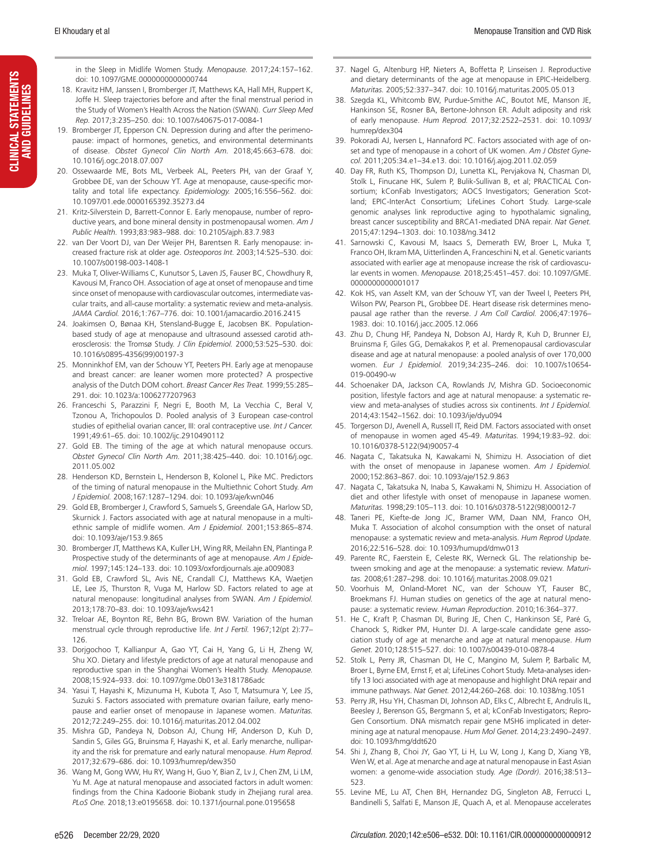CLINICAL STATEMENTS<br>AND GUIDELINES CLINICAL STATEMENTS AND GUIDELINES in the Sleep in Midlife Women Study. *Menopause.* 2017;24:157–162. doi: 10.1097/GME.0000000000000744

- 18. Kravitz HM, Janssen I, Bromberger JT, Matthews KA, Hall MH, Ruppert K, Joffe H. Sleep trajectories before and after the final menstrual period in the Study of Women's Health Across the Nation (SWAN). *Curr Sleep Med Rep.* 2017;3:235–250. doi: 10.1007/s40675-017-0084-1
- 19. Bromberger JT, Epperson CN. Depression during and after the perimenopause: impact of hormones, genetics, and environmental determinants of disease. *Obstet Gynecol Clin North Am.* 2018;45:663–678. doi: 10.1016/j.ogc.2018.07.007
- 20. Ossewaarde ME, Bots ML, Verbeek AL, Peeters PH, van der Graaf Y, Grobbee DE, van der Schouw YT. Age at menopause, cause-specific mortality and total life expectancy. *Epidemiology.* 2005;16:556–562. doi: 10.1097/01.ede.0000165392.35273.d4
- 21. Kritz-Silverstein D, Barrett-Connor E. Early menopause, number of reproductive years, and bone mineral density in postmenopausal women. *Am J Public Health.* 1993;83:983–988. doi: 10.2105/ajph.83.7.983
- 22. van Der Voort DJ, van Der Weijer PH, Barentsen R. Early menopause: increased fracture risk at older age. *Osteoporos Int.* 2003;14:525–530. doi: 10.1007/s00198-003-1408-1
- 23. Muka T, Oliver-Williams C, Kunutsor S, Laven JS, Fauser BC, Chowdhury R, Kavousi M, Franco OH. Association of age at onset of menopause and time since onset of menopause with cardiovascular outcomes, intermediate vascular traits, and all-cause mortality: a systematic review and meta-analysis. *JAMA Cardiol.* 2016;1:767–776. doi: 10.1001/jamacardio.2016.2415
- 24. Joakimsen O, Bønaa KH, Stensland-Bugge E, Jacobsen BK. Populationbased study of age at menopause and ultrasound assessed carotid atherosclerosis: the Tromsø Study. *J Clin Epidemiol.* 2000;53:525–530. doi: 10.1016/s0895-4356(99)00197-3
- 25. Monninkhof EM, van der Schouw YT, Peeters PH. Early age at menopause and breast cancer: are leaner women more protected? A prospective analysis of the Dutch DOM cohort. *Breast Cancer Res Treat.* 1999;55:285– 291. doi: 10.1023/a:1006277207963
- 26. Franceschi S, Parazzini F, Negri E, Booth M, La Vecchia C, Beral V, Tzonou A, Trichopoulos D. Pooled analysis of 3 European case-control studies of epithelial ovarian cancer, III: oral contraceptive use. *Int J Cancer.* 1991;49:61–65. doi: 10.1002/ijc.2910490112
- 27. Gold EB. The timing of the age at which natural menopause occurs. *Obstet Gynecol Clin North Am.* 2011;38:425–440. doi: 10.1016/j.ogc. 2011.05.002
- 28. Henderson KD, Bernstein L, Henderson B, Kolonel L, Pike MC. Predictors of the timing of natural menopause in the Multiethnic Cohort Study. *Am J Epidemiol.* 2008;167:1287–1294. doi: 10.1093/aje/kwn046
- 29. Gold EB, Bromberger J, Crawford S, Samuels S, Greendale GA, Harlow SD, Skurnick J. Factors associated with age at natural menopause in a multiethnic sample of midlife women. *Am J Epidemiol.* 2001;153:865–874. doi: 10.1093/aje/153.9.865
- 30. Bromberger JT, Matthews KA, Kuller LH, Wing RR, Meilahn EN, Plantinga P. Prospective study of the determinants of age at menopause. *Am J Epidemiol.* 1997;145:124–133. doi: 10.1093/oxfordjournals.aje.a009083
- 31. Gold EB, Crawford SL, Avis NE, Crandall CJ, Matthews KA, Waetjen LE, Lee JS, Thurston R, Vuga M, Harlow SD. Factors related to age at natural menopause: longitudinal analyses from SWAN. *Am J Epidemiol.* 2013;178:70–83. doi: 10.1093/aje/kws421
- 32. Treloar AE, Boynton RE, Behn BG, Brown BW. Variation of the human menstrual cycle through reproductive life. *Int J Fertil.* 1967;12(pt 2):77– 126.
- 33. Dorjgochoo T, Kallianpur A, Gao YT, Cai H, Yang G, Li H, Zheng W, Shu XO. Dietary and lifestyle predictors of age at natural menopause and reproductive span in the Shanghai Women's Health Study. *Menopause.* 2008;15:924–933. doi: 10.1097/gme.0b013e3181786adc
- 34. Yasui T, Hayashi K, Mizunuma H, Kubota T, Aso T, Matsumura Y, Lee JS, Suzuki S. Factors associated with premature ovarian failure, early menopause and earlier onset of menopause in Japanese women. *Maturitas.* 2012;72:249–255. doi: 10.1016/j.maturitas.2012.04.002
- 35. Mishra GD, Pandeya N, Dobson AJ, Chung HF, Anderson D, Kuh D, Sandin S, Giles GG, Bruinsma F, Hayashi K, et al. Early menarche, nulliparity and the risk for premature and early natural menopause. *Hum Reprod.* 2017;32:679–686. doi: 10.1093/humrep/dew350
- 36. Wang M, Gong WW, Hu RY, Wang H, Guo Y, Bian Z, Lv J, Chen ZM, Li LM, Yu M. Age at natural menopause and associated factors in adult women: findings from the China Kadoorie Biobank study in Zhejiang rural area. *PLoS One.* 2018;13:e0195658. doi: 10.1371/journal.pone.0195658
- 37. Nagel G, Altenburg HP, Nieters A, Boffetta P, Linseisen J. Reproductive and dietary determinants of the age at menopause in EPIC-Heidelberg. *Maturitas.* 2005;52:337–347. doi: 10.1016/j.maturitas.2005.05.013
- 38. Szegda KL, Whitcomb BW, Purdue-Smithe AC, Boutot ME, Manson JE, Hankinson SE, Rosner BA, Bertone-Johnson ER. Adult adiposity and risk of early menopause. *Hum Reprod.* 2017;32:2522–2531. doi: 10.1093/ humrep/dex304
- 39. Pokoradi AJ, Iversen L, Hannaford PC. Factors associated with age of onset and type of menopause in a cohort of UK women. *Am J Obstet Gynecol.* 2011;205:34.e1–34.e13. doi: 10.1016/j.ajog.2011.02.059
- 40. Day FR, Ruth KS, Thompson DJ, Lunetta KL, Pervjakova N, Chasman DI, Stolk L, Finucane HK, Sulem P, Bulik-Sullivan B, et al; PRACTICAL Consortium; kConFab Investigators; AOCS Investigators; Generation Scotland; EPIC-InterAct Consortium; LifeLines Cohort Study. Large-scale genomic analyses link reproductive aging to hypothalamic signaling, breast cancer susceptibility and BRCA1-mediated DNA repair. *Nat Genet.* 2015;47:1294–1303. doi: 10.1038/ng.3412
- 41. Sarnowski C, Kavousi M, Isaacs S, Demerath EW, Broer L, Muka T, Franco OH, Ikram MA, Uitterlinden A, Franceschini N, et al. Genetic variants associated with earlier age at menopause increase the risk of cardiovascular events in women. *Menopause.* 2018;25:451–457. doi: 10.1097/GME. 0000000000001017
- 42. Kok HS, van Asselt KM, van der Schouw YT, van der Tweel I, Peeters PH, Wilson PW, Pearson PL, Grobbee DE. Heart disease risk determines menopausal age rather than the reverse. *J Am Coll Cardiol.* 2006;47:1976– 1983. doi: 10.1016/j.jacc.2005.12.066
- 43. Zhu D, Chung HF, Pandeya N, Dobson AJ, Hardy R, Kuh D, Brunner EJ, Bruinsma F, Giles GG, Demakakos P, et al. Premenopausal cardiovascular disease and age at natural menopause: a pooled analysis of over 170,000 women. *Eur J Epidemiol.* 2019;34:235–246. doi: 10.1007/s10654- 019-00490-w
- 44. Schoenaker DA, Jackson CA, Rowlands JV, Mishra GD. Socioeconomic position, lifestyle factors and age at natural menopause: a systematic review and meta-analyses of studies across six continents. *Int J Epidemiol.* 2014;43:1542–1562. doi: 10.1093/ije/dyu094
- 45. Torgerson DJ, Avenell A, Russell IT, Reid DM. Factors associated with onset of menopause in women aged 45-49. *Maturitas.* 1994;19:83–92. doi: 10.1016/0378-5122(94)90057-4
- 46. Nagata C, Takatsuka N, Kawakami N, Shimizu H. Association of diet with the onset of menopause in Japanese women. *Am J Epidemiol.* 2000;152:863–867. doi: 10.1093/aje/152.9.863
- 47. Nagata C, Takatsuka N, Inaba S, Kawakami N, Shimizu H. Association of diet and other lifestyle with onset of menopause in Japanese women. *Maturitas.* 1998;29:105–113. doi: 10.1016/s0378-5122(98)00012-7
- 48. Taneri PE, Kiefte-de Jong JC, Bramer WM, Daan NM, Franco OH, Muka T. Association of alcohol consumption with the onset of natural menopause: a systematic review and meta-analysis. *Hum Reprod Update*. 2016;22:516–528. doi: 10.1093/humupd/dmw013
- 49. Parente RC, Faerstein E, Celeste RK, Werneck GL. The relationship between smoking and age at the menopause: a systematic review. *Maturitas.* 2008;61:287–298. doi: 10.1016/j.maturitas.2008.09.021
- 50. Voorhuis M, Onland-Moret NC, van der Schouw YT, Fauser BC, Broekmans FJ. Human studies on genetics of the age at natural menopause: a systematic review. *Human Reproduction*. 2010;16:364–377.
- 51. He C, Kraft P, Chasman DI, Buring JE, Chen C, Hankinson SE, Paré G, Chanock S, Ridker PM, Hunter DJ. A large-scale candidate gene association study of age at menarche and age at natural menopause. *Hum Genet.* 2010;128:515–527. doi: 10.1007/s00439-010-0878-4
- 52. Stolk L, Perry JR, Chasman DI, He C, Mangino M, Sulem P, Barbalic M, Broer L, Byrne EM, Ernst F, et al; LifeLines Cohort Study. Meta-analyses identify 13 loci associated with age at menopause and highlight DNA repair and immune pathways. *Nat Genet.* 2012;44:260–268. doi: 10.1038/ng.1051
- 53. Perry JR, Hsu YH, Chasman DI, Johnson AD, Elks C, Albrecht E, Andrulis IL, Beesley J, Berenson GS, Bergmann S, et al; kConFab Investigators; Repro-Gen Consortium. DNA mismatch repair gene MSH6 implicated in determining age at natural menopause. *Hum Mol Genet.* 2014;23:2490–2497. doi: 10.1093/hmg/ddt620
- 54. Shi J, Zhang B, Choi JY, Gao YT, Li H, Lu W, Long J, Kang D, Xiang YB, Wen W, et al. Age at menarche and age at natural menopause in East Asian women: a genome-wide association study. *Age (Dordr)*. 2016;38:513– 523.
- 55. Levine ME, Lu AT, Chen BH, Hernandez DG, Singleton AB, Ferrucci L, Bandinelli S, Salfati E, Manson JE, Quach A, et al. Menopause accelerates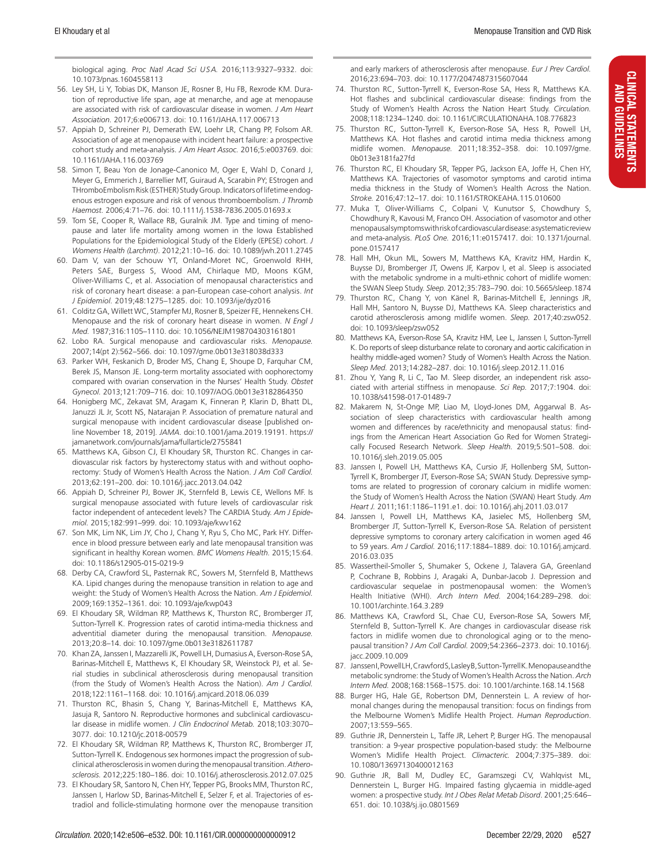CLINICAL STATEMENTS AND GUIDELINES

**CLINICAL STATEMENTS** AND GUIDELINES

biological aging. *Proc Natl Acad Sci USA.* 2016;113:9327–9332. doi: 10.1073/pnas.1604558113

- 56. Ley SH, Li Y, Tobias DK, Manson JE, Rosner B, Hu FB, Rexrode KM. Duration of reproductive life span, age at menarche, and age at menopause are associated with risk of cardiovascular disease in women. *J Am Heart Association.* 2017;6:e006713. doi: 10.1161/JAHA.117.006713
- 57. Appiah D, Schreiner PJ, Demerath EW, Loehr LR, Chang PP, Folsom AR. Association of age at menopause with incident heart failure: a prospective cohort study and meta-analysis. *J Am Heart Assoc.* 2016;5:e003769. doi: 10.1161/JAHA.116.003769
- 58. Simon T, Beau Yon de Jonage-Canonico M, Oger E, Wahl D, Conard J, Meyer G, Emmerich J, Barrellier MT, Guiraud A, Scarabin PY; EStrogen and THromboEmbolism Risk (ESTHER) Study Group. Indicators of lifetime endogenous estrogen exposure and risk of venous thromboembolism. *J Thromb Haemost.* 2006;4:71–76. doi: 10.1111/j.1538-7836.2005.01693.x
- 59. Tom SE, Cooper R, Wallace RB, Guralnik JM. Type and timing of menopause and later life mortality among women in the Iowa Established Populations for the Epidemiological Study of the Elderly (EPESE) cohort. *J Womens Health (Larchmt)*. 2012;21:10–16. doi: 10.1089/jwh.2011.2745
- 60. Dam V, van der Schouw YT, Onland-Moret NC, Groenwold RHH, Peters SAE, Burgess S, Wood AM, Chirlaque MD, Moons KGM, Oliver-Williams C, et al. Association of menopausal characteristics and risk of coronary heart disease: a pan-European case-cohort analysis. *Int J Epidemiol.* 2019;48:1275–1285. doi: 10.1093/ije/dyz016
- 61. Colditz GA, Willett WC, Stampfer MJ, Rosner B, Speizer FE, Hennekens CH. Menopause and the risk of coronary heart disease in women. *N Engl J Med.* 1987;316:1105–1110. doi: 10.1056/NEJM198704303161801
- 62. Lobo RA. Surgical menopause and cardiovascular risks. *Menopause.* 2007;14(pt 2):562–566. doi: 10.1097/gme.0b013e318038d333
- 63. Parker WH, Feskanich D, Broder MS, Chang E, Shoupe D, Farquhar CM, Berek JS, Manson JE. Long-term mortality associated with oophorectomy compared with ovarian conservation in the Nurses' Health Study. *Obstet Gynecol.* 2013;121:709–716. doi: 10.1097/AOG.0b013e3182864350
- 64. Honigberg MC, Zekavat SM, Aragam K, Finneran P, Klarin D, Bhatt DL, Januzzi JL Jr, Scott NS, Natarajan P. Association of premature natural and surgical menopause with incident cardiovascular disease [published online November 18, 2019]. *JAMA*. doi:10.1001/jama.2019.19191. https:// jamanetwork.com/journals/jama/fullarticle/2755841
- 65. Matthews KA, Gibson CJ, El Khoudary SR, Thurston RC. Changes in cardiovascular risk factors by hysterectomy status with and without oophorectomy: Study of Women's Health Across the Nation. *J Am Coll Cardiol.* 2013;62:191–200. doi: 10.1016/j.jacc.2013.04.042
- 66. Appiah D, Schreiner PJ, Bower JK, Sternfeld B, Lewis CE, Wellons MF. Is surgical menopause associated with future levels of cardiovascular risk factor independent of antecedent levels? The CARDIA Study. *Am J Epidemiol.* 2015;182:991–999. doi: 10.1093/aje/kwv162
- 67. Son MK, Lim NK, Lim JY, Cho J, Chang Y, Ryu S, Cho MC, Park HY. Difference in blood pressure between early and late menopausal transition was significant in healthy Korean women. *BMC Womens Health.* 2015;15:64. doi: 10.1186/s12905-015-0219-9
- 68. Derby CA, Crawford SL, Pasternak RC, Sowers M, Sternfeld B, Matthews KA. Lipid changes during the menopause transition in relation to age and weight: the Study of Women's Health Across the Nation. *Am J Epidemiol.* 2009;169:1352–1361. doi: 10.1093/aje/kwp043
- 69. El Khoudary SR, Wildman RP, Matthews K, Thurston RC, Bromberger JT, Sutton-Tyrrell K. Progression rates of carotid intima-media thickness and adventitial diameter during the menopausal transition. *Menopause.* 2013;20:8–14. doi: 10.1097/gme.0b013e3182611787
- 70. Khan ZA, Janssen I, Mazzarelli JK, Powell LH, Dumasius A, Everson-Rose SA, Barinas-Mitchell E, Matthews K, El Khoudary SR, Weinstock PJ, et al. Serial studies in subclinical atherosclerosis during menopausal transition (from the Study of Women's Health Across the Nation). *Am J Cardiol.* 2018;122:1161–1168. doi: 10.1016/j.amjcard.2018.06.039
- 71. Thurston RC, Bhasin S, Chang Y, Barinas-Mitchell E, Matthews KA, Jasuja R, Santoro N. Reproductive hormones and subclinical cardiovascular disease in midlife women. *J Clin Endocrinol Metab.* 2018;103:3070– 3077. doi: 10.1210/jc.2018-00579
- 72. El Khoudary SR, Wildman RP, Matthews K, Thurston RC, Bromberger JT, Sutton-Tyrrell K. Endogenous sex hormones impact the progression of subclinical atherosclerosis in women during the menopausal transition. *Atherosclerosis.* 2012;225:180–186. doi: 10.1016/j.atherosclerosis.2012.07.025
- 73. El Khoudary SR, Santoro N, Chen HY, Tepper PG, Brooks MM, Thurston RC, Janssen I, Harlow SD, Barinas-Mitchell E, Selzer F, et al. Trajectories of estradiol and follicle-stimulating hormone over the menopause transition

and early markers of atherosclerosis after menopause. *Eur J Prev Cardiol.* 2016;23:694–703. doi: 10.1177/2047487315607044

- 74. Thurston RC, Sutton-Tyrrell K, Everson-Rose SA, Hess R, Matthews KA. Hot flashes and subclinical cardiovascular disease: findings from the Study of Women's Health Across the Nation Heart Study. *Circulation.* 2008;118:1234–1240. doi: 10.1161/CIRCULATIONAHA.108.776823
- 75. Thurston RC, Sutton-Tyrrell K, Everson-Rose SA, Hess R, Powell LH, Matthews KA. Hot flashes and carotid intima media thickness among midlife women. *Menopause.* 2011;18:352–358. doi: 10.1097/gme. 0b013e3181fa27fd
- 76. Thurston RC, El Khoudary SR, Tepper PG, Jackson EA, Joffe H, Chen HY, Matthews KA. Trajectories of vasomotor symptoms and carotid intima media thickness in the Study of Women's Health Across the Nation. *Stroke.* 2016;47:12–17. doi: 10.1161/STROKEAHA.115.010600
- 77. Muka T, Oliver-Williams C, Colpani V, Kunutsor S, Chowdhury S, Chowdhury R, Kavousi M, Franco OH. Association of vasomotor and other menopausal symptoms with risk of cardiovascular disease: a systematic review and meta-analysis. *PLoS One.* 2016;11:e0157417. doi: 10.1371/journal. pone.0157417
- 78. Hall MH, Okun ML, Sowers M, Matthews KA, Kravitz HM, Hardin K, Buysse DJ, Bromberger JT, Owens JF, Karpov I, et al. Sleep is associated with the metabolic syndrome in a multi-ethnic cohort of midlife women: the SWAN Sleep Study. *Sleep.* 2012;35:783–790. doi: 10.5665/sleep.1874
- 79. Thurston RC, Chang Y, von Känel R, Barinas-Mitchell E, Jennings JR, Hall MH, Santoro N, Buysse DJ, Matthews KA. Sleep characteristics and carotid atherosclerosis among midlife women. *Sleep.* 2017;40:zsw052. doi: 10.1093/sleep/zsw052
- 80. Matthews KA, Everson-Rose SA, Kravitz HM, Lee L, Janssen I, Sutton-Tyrrell K. Do reports of sleep disturbance relate to coronary and aortic calcification in healthy middle-aged women? Study of Women's Health Across the Nation. *Sleep Med.* 2013;14:282–287. doi: 10.1016/j.sleep.2012.11.016
- 81. Zhou Y, Yang R, Li C, Tao M. Sleep disorder, an independent risk associated with arterial stiffness in menopause. *Sci Rep.* 2017;7:1904. doi: 10.1038/s41598-017-01489-7
- 82. Makarem N, St-Onge MP, Liao M, Lloyd-Jones DM, Aggarwal B. Association of sleep characteristics with cardiovascular health among women and differences by race/ethnicity and menopausal status: findings from the American Heart Association Go Red for Women Strategically Focused Research Network. *Sleep Health.* 2019;5:501–508. doi: 10.1016/j.sleh.2019.05.005
- 83. Janssen I, Powell LH, Matthews KA, Cursio JF, Hollenberg SM, Sutton-Tyrrell K, Bromberger JT, Everson-Rose SA; SWAN Study. Depressive symptoms are related to progression of coronary calcium in midlife women: the Study of Women's Health Across the Nation (SWAN) Heart Study. *Am Heart J.* 2011;161:1186–1191.e1. doi: 10.1016/j.ahj.2011.03.017
- 84. Janssen I, Powell LH, Matthews KA, Jasielec MS, Hollenberg SM, Bromberger JT, Sutton-Tyrrell K, Everson-Rose SA. Relation of persistent depressive symptoms to coronary artery calcification in women aged 46 to 59 years. *Am J Cardiol.* 2016;117:1884–1889. doi: 10.1016/j.amjcard. 2016.03.035
- 85. Wassertheil-Smoller S, Shumaker S, Ockene J, Talavera GA, Greenland P, Cochrane B, Robbins J, Aragaki A, Dunbar-Jacob J. Depression and cardiovascular sequelae in postmenopausal women: the Women's Health Initiative (WHI). *Arch Intern Med.* 2004;164:289–298. doi: 10.1001/archinte.164.3.289
- 86. Matthews KA, Crawford SL, Chae CU, Everson-Rose SA, Sowers MF, Sternfeld B, Sutton-Tyrrell K. Are changes in cardiovascular disease risk factors in midlife women due to chronological aging or to the menopausal transition? *J Am Coll Cardiol.* 2009;54:2366–2373. doi: 10.1016/j. iacc.2009.10.009
- 87. JanssenI, PowellLH, Crawford S, Lasley B, Sutton-Tyrrell K. Menopause and the metabolic syndrome: the Study of Women's Health Across the Nation. *Arch Intern Med.* 2008;168:1568–1575. doi: 10.1001/archinte.168.14.1568
- 88. Burger HG, Hale GE, Robertson DM, Dennerstein L. A review of hormonal changes during the menopausal transition: focus on findings from the Melbourne Women's Midlife Health Project. *Human Reproduction*. 2007;13:559–565.
- 89. Guthrie JR, Dennerstein L, Taffe JR, Lehert P, Burger HG. The menopausal transition: a 9-year prospective population-based study: the Melbourne Women's Midlife Health Project. *Climacteric.* 2004;7:375–389. doi: 10.1080/13697130400012163
- 90. Guthrie JR, Ball M, Dudley EC, Garamszegi CV, Wahlqvist ML, Dennerstein L, Burger HG. Impaired fasting glycaemia in middle-aged women: a prospective study. *Int J Obes Relat Metab Disord*. 2001;25:646– 651. doi: 10.1038/sj.ijo.0801569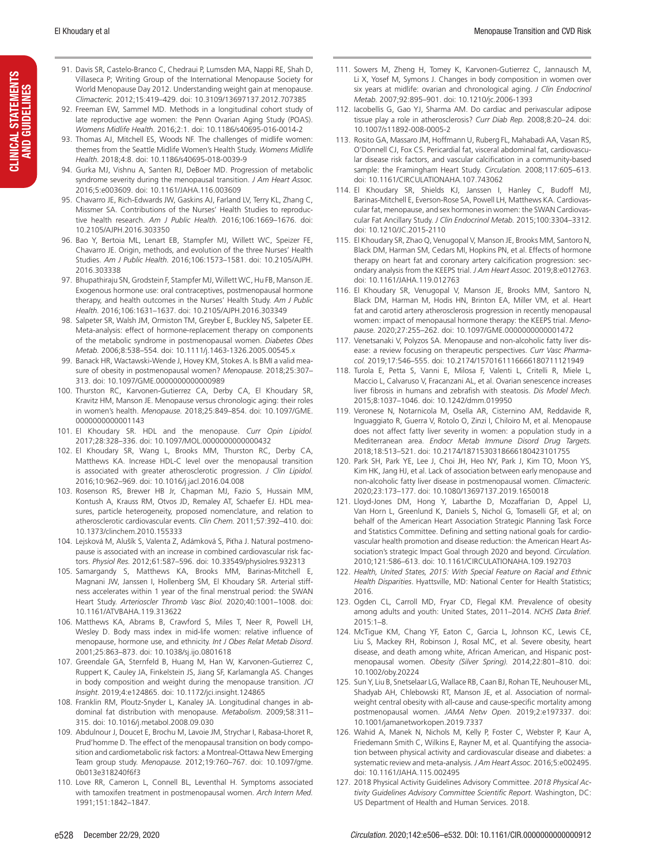- 91. Davis SR, Castelo-Branco C, Chedraui P, Lumsden MA, Nappi RE, Shah D, Villaseca P; Writing Group of the International Menopause Society for World Menopause Day 2012. Understanding weight gain at menopause. *Climacteric.* 2012;15:419–429. doi: 10.3109/13697137.2012.707385
- 92. Freeman EW, Sammel MD. Methods in a longitudinal cohort study of late reproductive age women: the Penn Ovarian Aging Study (POAS). *Womens Midlife Health.* 2016;2:1. doi: 10.1186/s40695-016-0014-2
- 93. Thomas AJ, Mitchell ES, Woods NF. The challenges of midlife women: themes from the Seattle Midlife Women's Health Study. *Womens Midlife Health.* 2018;4:8. doi: 10.1186/s40695-018-0039-9
- 94. Gurka MJ, Vishnu A, Santen RJ, DeBoer MD. Progression of metabolic syndrome severity during the menopausal transition. *J Am Heart Assoc.* 2016;5:e003609. doi: 10.1161/JAHA.116.003609
- 95. Chavarro JE, Rich-Edwards JW, Gaskins AJ, Farland LV, Terry KL, Zhang C, Missmer SA. Contributions of the Nurses' Health Studies to reproductive health research. *Am J Public Health.* 2016;106:1669–1676. doi: 10.2105/AJPH.2016.303350
- 96. Bao Y, Bertoia ML, Lenart EB, Stampfer MJ, Willett WC, Speizer FE, Chavarro JE. Origin, methods, and evolution of the three Nurses' Health Studies. *Am J Public Health.* 2016;106:1573–1581. doi: 10.2105/AJPH. 2016.303338
- 97. Bhupathiraju SN, Grodstein F, Stampfer MJ, Willett WC, Hu FB, Manson JE. Exogenous hormone use: oral contraceptives, postmenopausal hormone therapy, and health outcomes in the Nurses' Health Study. *Am J Public Health.* 2016;106:1631–1637. doi: 10.2105/AJPH.2016.303349
- 98. Salpeter SR, Walsh JM, Ormiston TM, Greyber E, Buckley NS, Salpeter EE. Meta-analysis: effect of hormone-replacement therapy on components of the metabolic syndrome in postmenopausal women. *Diabetes Obes Metab.* 2006;8:538–554. doi: 10.1111/j.1463-1326.2005.00545.x
- 99. Banack HR, Wactawski-Wende J, Hovey KM, Stokes A. Is BMI a valid measure of obesity in postmenopausal women? *Menopause.* 2018;25:307– 313. doi: 10.1097/GME.0000000000000989
- 100. Thurston RC, Karvonen-Gutierrez CA, Derby CA, El Khoudary SR, Kravitz HM, Manson JE. Menopause versus chronologic aging: their roles in women's health. *Menopause.* 2018;25:849–854. doi: 10.1097/GME. 0000000000001143
- 101. El Khoudary SR. HDL and the menopause. *Curr Opin Lipidol.* 2017;28:328–336. doi: 10.1097/MOL.0000000000000432
- 102. El Khoudary SR, Wang L, Brooks MM, Thurston RC, Derby CA, Matthews KA. Increase HDL-C level over the menopausal transition is associated with greater atherosclerotic progression. *J Clin Lipidol.* 2016;10:962–969. doi: 10.1016/j.jacl.2016.04.008
- 103. Rosenson RS, Brewer HB Jr, Chapman MJ, Fazio S, Hussain MM, Kontush A, Krauss RM, Otvos JD, Remaley AT, Schaefer EJ. HDL measures, particle heterogeneity, proposed nomenclature, and relation to atherosclerotic cardiovascular events. *Clin Chem.* 2011;57:392–410. doi: 10.1373/clinchem.2010.155333
- 104. Lejsková M, Alušík S, Valenta Z, Adámková S, Piťha J. Natural postmenopause is associated with an increase in combined cardiovascular risk factors. *Physiol Res.* 2012;61:587–596. doi: 10.33549/physiolres.932313
- 105. Samargandy S, Matthews KA, Brooks MM, Barinas-Mitchell E, Magnani JW, Janssen I, Hollenberg SM, El Khoudary SR. Arterial stiffness accelerates within 1 year of the final menstrual period: the SWAN Heart Study. *Arterioscler Thromb Vasc Biol.* 2020;40:1001–1008. doi: 10.1161/ATVBAHA.119.313622
- 106. Matthews KA, Abrams B, Crawford S, Miles T, Neer R, Powell LH, Wesley D. Body mass index in mid-life women: relative influence of menopause, hormone use, and ethnicity. *Int J Obes Relat Metab Disord*. 2001;25:863–873. doi: 10.1038/sj.ijo.0801618
- 107. Greendale GA, Sternfeld B, Huang M, Han W, Karvonen-Gutierrez C, Ruppert K, Cauley JA, Finkelstein JS, Jiang SF, Karlamangla AS. Changes in body composition and weight during the menopause transition. *JCI Insight.* 2019;4:e124865. doi: 10.1172/jci.insight.124865
- 108. Franklin RM, Ploutz-Snyder L, Kanaley JA. Longitudinal changes in abdominal fat distribution with menopause. *Metabolism.* 2009;58:311– 315. doi: 10.1016/j.metabol.2008.09.030
- 109. Abdulnour J, Doucet E, Brochu M, Lavoie JM, Strychar I, Rabasa-Lhoret R, Prud'homme D. The effect of the menopausal transition on body composition and cardiometabolic risk factors: a Montreal-Ottawa New Emerging Team group study. *Menopause.* 2012;19:760–767. doi: 10.1097/gme. 0b013e318240f6f3
- 110. Love RR, Cameron L, Connell BL, Leventhal H. Symptoms associated with tamoxifen treatment in postmenopausal women. *Arch Intern Med.* 1991;151:1842–1847.
- 111. Sowers M, Zheng H, Tomey K, Karvonen-Gutierrez C, Jannausch M, Li X, Yosef M, Symons J. Changes in body composition in women over six years at midlife: ovarian and chronological aging. *J Clin Endocrinol Metab.* 2007;92:895–901. doi: 10.1210/jc.2006-1393
- 112. Iacobellis G, Gao YJ, Sharma AM. Do cardiac and perivascular adipose tissue play a role in atherosclerosis? *Curr Diab Rep.* 2008;8:20–24. doi: 10.1007/s11892-008-0005-2
- 113. Rosito GA, Massaro JM, Hoffmann U, Ruberg FL, Mahabadi AA, Vasan RS, O'Donnell CJ, Fox CS. Pericardial fat, visceral abdominal fat, cardiovascular disease risk factors, and vascular calcification in a community-based sample: the Framingham Heart Study. *Circulation.* 2008;117:605–613. doi: 10.1161/CIRCULATIONAHA.107.743062
- 114. El Khoudary SR, Shields KJ, Janssen I, Hanley C, Budoff MJ, Barinas-Mitchell E, Everson-Rose SA, Powell LH, Matthews KA. Cardiovascular fat, menopause, and sex hormones in women: the SWAN Cardiovascular Fat Ancillary Study. *J Clin Endocrinol Metab.* 2015;100:3304–3312. doi: 10.1210/JC.2015-2110
- 115. El Khoudary SR, Zhao Q, Venugopal V, Manson JE, Brooks MM, Santoro N, Black DM, Harman SM, Cedars MI, Hopkins PN, et al. Effects of hormone therapy on heart fat and coronary artery calcification progression: secondary analysis from the KEEPS trial. *J Am Heart Assoc.* 2019;8:e012763. doi: 10.1161/JAHA.119.012763
- 116. El Khoudary SR, Venugopal V, Manson JE, Brooks MM, Santoro N, Black DM, Harman M, Hodis HN, Brinton EA, Miller VM, et al. Heart fat and carotid artery atherosclerosis progression in recently menopausal women: impact of menopausal hormone therapy: the KEEPS trial. *Menopause.* 2020;27:255–262. doi: 10.1097/GME.0000000000001472
- 117. Venetsanaki V, Polyzos SA. Menopause and non-alcoholic fatty liver disease: a review focusing on therapeutic perspectives. *Curr Vasc Pharmacol.* 2019;17:546–555. doi: 10.2174/1570161116666180711121949
- 118. Turola E, Petta S, Vanni E, Milosa F, Valenti L, Critelli R, Miele L, Maccio L, Calvaruso V, Fracanzani AL, et al. Ovarian senescence increases liver fibrosis in humans and zebrafish with steatosis. *Dis Model Mech.* 2015;8:1037–1046. doi: 10.1242/dmm.019950
- 119. Veronese N, Notarnicola M, Osella AR, Cisternino AM, Reddavide R, Inguaggiato R, Guerra V, Rotolo O, Zinzi I, Chiloiro M, et al. Menopause does not affect fatty liver severity in women: a population study in a Mediterranean area. *Endocr Metab Immune Disord Drug Targets.* 2018;18:513–521. doi: 10.2174/1871530318666180423101755
- 120. Park SH, Park YE, Lee J, Choi JH, Heo NY, Park J, Kim TO, Moon YS, Kim HK, Jang HJ, et al. Lack of association between early menopause and non-alcoholic fatty liver disease in postmenopausal women. *Climacteric.* 2020;23:173–177. doi: 10.1080/13697137.2019.1650018
- 121. Lloyd-Jones DM, Hong Y, Labarthe D, Mozaffarian D, Appel LJ, Van Horn L, Greenlund K, Daniels S, Nichol G, Tomaselli GF, et al; on behalf of the American Heart Association Strategic Planning Task Force and Statistics Committee. Defining and setting national goals for cardiovascular health promotion and disease reduction: the American Heart Association's strategic Impact Goal through 2020 and beyond. *Circulation.* 2010;121:586–613. doi: 10.1161/CIRCULATIONAHA.109.192703
- 122. *Health, United States, 2015: With Special Feature on Racial and Ethnic Health Disparities*. Hyattsville, MD: National Center for Health Statistics; 2016.
- 123. Ogden CL, Carroll MD, Fryar CD, Flegal KM. Prevalence of obesity among adults and youth: United States, 2011–2014. *NCHS Data Brief.* 2015:1–8.
- 124. McTigue KM, Chang YF, Eaton C, Garcia L, Johnson KC, Lewis CE, Liu S, Mackey RH, Robinson J, Rosal MC, et al. Severe obesity, heart disease, and death among white, African American, and Hispanic postmenopausal women. *Obesity (Silver Spring).* 2014;22:801–810. doi: 10.1002/oby.20224
- 125. Sun Y, Liu B, Snetselaar LG, Wallace RB, Caan BJ, Rohan TE, Neuhouser ML, Shadyab AH, Chlebowski RT, Manson JE, et al. Association of normalweight central obesity with all-cause and cause-specific mortality among postmenopausal women. *JAMA Netw Open.* 2019;2:e197337. doi: 10.1001/jamanetworkopen.2019.7337
- 126. Wahid A, Manek N, Nichols M, Kelly P, Foster C, Webster P, Kaur A, Friedemann Smith C, Wilkins E, Rayner M, et al. Quantifying the association between physical activity and cardiovascular disease and diabetes: a systematic review and meta-analysis. *J Am Heart Assoc*. 2016;5:e002495. doi: 10.1161/JAHA.115.002495
- 127. 2018 Physical Activity Guidelines Advisory Committee. *2018 Physical Activity Guidelines Advisory Committee Scientific Report*. Washington, DC: US Department of Health and Human Services. 2018.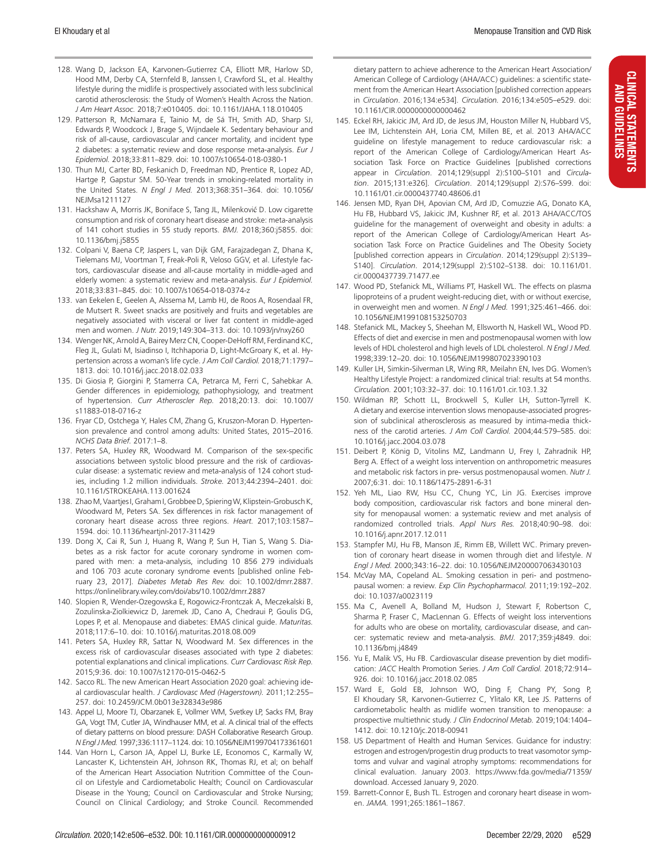- 128. Wang D, Jackson EA, Karvonen-Gutierrez CA, Elliott MR, Harlow SD, Hood MM, Derby CA, Sternfeld B, Janssen I, Crawford SL, et al. Healthy lifestyle during the midlife is prospectively associated with less subclinical carotid atherosclerosis: the Study of Women's Health Across the Nation. *J Am Heart Assoc.* 2018;7:e010405. doi: 10.1161/JAHA.118.010405
- 129. Patterson R, McNamara E, Tainio M, de Sá TH, Smith AD, Sharp SJ, Edwards P, Woodcock J, Brage S, Wijndaele K. Sedentary behaviour and risk of all-cause, cardiovascular and cancer mortality, and incident type 2 diabetes: a systematic review and dose response meta-analysis. *Eur J Epidemiol.* 2018;33:811–829. doi: 10.1007/s10654-018-0380-1
- 130. Thun MJ, Carter BD, Feskanich D, Freedman ND, Prentice R, Lopez AD, Hartge P, Gapstur SM. 50-Year trends in smoking-related mortality in the United States. *N Engl J Med.* 2013;368:351–364. doi: 10.1056/ NEJMsa1211127
- 131. Hackshaw A, Morris JK, Boniface S, Tang JL, Milenković D. Low cigarette consumption and risk of coronary heart disease and stroke: meta-analysis of 141 cohort studies in 55 study reports. *BMJ.* 2018;360:j5855. doi: 10.1136/bmj.j5855
- 132. Colpani V, Baena CP, Jaspers L, van Dijk GM, Farajzadegan Z, Dhana K, Tielemans MJ, Voortman T, Freak-Poli R, Veloso GGV, et al. Lifestyle factors, cardiovascular disease and all-cause mortality in middle-aged and elderly women: a systematic review and meta-analysis. *Eur J Epidemiol.* 2018;33:831–845. doi: 10.1007/s10654-018-0374-z
- 133. van Eekelen E, Geelen A, Alssema M, Lamb HJ, de Roos A, Rosendaal FR, de Mutsert R. Sweet snacks are positively and fruits and vegetables are negatively associated with visceral or liver fat content in middle-aged men and women. *J Nutr.* 2019;149:304–313. doi: 10.1093/jn/nxy260
- 134. Wenger NK, Arnold A, Bairey Merz CN, Cooper-DeHoff RM, Ferdinand KC, Fleg JL, Gulati M, Isiadinso I, Itchhaporia D, Light-McGroary K, et al. Hypertension across a woman's life cycle. *J Am Coll Cardiol.* 2018;71:1797– 1813. doi: 10.1016/j.jacc.2018.02.033
- 135. Di Giosia P, Giorgini P, Stamerra CA, Petrarca M, Ferri C, Sahebkar A. Gender differences in epidemiology, pathophysiology, and treatment of hypertension. *Curr Atheroscler Rep.* 2018;20:13. doi: 10.1007/ s11883-018-0716-z
- 136. Fryar CD, Ostchega Y, Hales CM, Zhang G, Kruszon-Moran D. Hypertension prevalence and control among adults: United States, 2015–2016. *NCHS Data Brief.* 2017:1–8.
- 137. Peters SA, Huxley RR, Woodward M. Comparison of the sex-specific associations between systolic blood pressure and the risk of cardiovascular disease: a systematic review and meta-analysis of 124 cohort studies, including 1.2 million individuals. *Stroke.* 2013;44:2394–2401. doi: 10.1161/STROKEAHA.113.001624
- 138. Zhao M, Vaartjes I, Graham I, Grobbee D, Spiering W, Klipstein-Grobusch K, Woodward M, Peters SA. Sex differences in risk factor management of coronary heart disease across three regions. *Heart.* 2017;103:1587– 1594. doi: 10.1136/heartjnl-2017-311429
- 139. Dong X, Cai R, Sun J, Huang R, Wang P, Sun H, Tian S, Wang S. Diabetes as a risk factor for acute coronary syndrome in women compared with men: a meta-analysis, including 10 856 279 individuals and 106 703 acute coronary syndrome events [published online February 23, 2017]. *Diabetes Metab Res Rev.* doi: 10.1002/dmrr.2887. https://onlinelibrary.wiley.com/doi/abs/10.1002/dmrr.2887
- 140. Slopien R, Wender-Ozegowska E, Rogowicz-Frontczak A, Meczekalski B, Zozulinska-Ziolkiewicz D, Jaremek JD, Cano A, Chedraui P, Goulis DG, Lopes P, et al. Menopause and diabetes: EMAS clinical guide. *Maturitas.* 2018;117:6–10. doi: 10.1016/j.maturitas.2018.08.009
- 141. Peters SA, Huxley RR, Sattar N, Woodward M. Sex differences in the excess risk of cardiovascular diseases associated with type 2 diabetes: potential explanations and clinical implications. *Curr Cardiovasc Risk Rep.* 2015;9:36. doi: 10.1007/s12170-015-0462-5
- 142. Sacco RL. The new American Heart Association 2020 goal: achieving ideal cardiovascular health. *J Cardiovasc Med (Hagerstown).* 2011;12:255– 257. doi: 10.2459/JCM.0b013e328343e986
- 143. Appel LJ, Moore TJ, Obarzanek E, Vollmer WM, Svetkey LP, Sacks FM, Bray GA, Vogt TM, Cutler JA, Windhauser MM, et al. A clinical trial of the effects of dietary patterns on blood pressure: DASH Collaborative Research Group. *N Engl J Med.* 1997;336:1117–1124. doi: 10.1056/NEJM199704173361601
- 144. Van Horn L, Carson JA, Appel LJ, Burke LE, Economos C, Karmally W, Lancaster K, Lichtenstein AH, Johnson RK, Thomas RJ, et al; on behalf of the American Heart Association Nutrition Committee of the Council on Lifestyle and Cardiometabolic Health; Council on Cardiovascular Disease in the Young; Council on Cardiovascular and Stroke Nursing; Council on Clinical Cardiology; and Stroke Council. Recommended

dietary pattern to achieve adherence to the American Heart Association/ American College of Cardiology (AHA/ACC) guidelines: a scientific statement from the American Heart Association [published correction appears in *Circulation*. 2016;134:e534]. *Circulation.* 2016;134:e505–e529. doi: 10.1161/CIR.0000000000000462

- 145. Eckel RH, Jakicic JM, Ard JD, de Jesus JM, Houston Miller N, Hubbard VS, Lee IM, Lichtenstein AH, Loria CM, Millen BE, et al. 2013 AHA/ACC guideline on lifestyle management to reduce cardiovascular risk: a report of the American College of Cardiology/American Heart Association Task Force on Practice Guidelines [published corrections appear in *Circulation*. 2014;129(suppl 2):S100–S101 and *Circulation*. 2015;131:e326]. *Circulation*. 2014;129(suppl 2):S76–S99. doi: 10.1161/01.cir.0000437740.48606.d1
- 146. Jensen MD, Ryan DH, Apovian CM, Ard JD, Comuzzie AG, Donato KA, Hu FB, Hubbard VS, Jakicic JM, Kushner RF, et al. 2013 AHA/ACC/TOS guideline for the management of overweight and obesity in adults: a report of the American College of Cardiology/American Heart Association Task Force on Practice Guidelines and The Obesity Society [published correction appears in *Circulation*. 2014;129(suppl 2):S139– S140]. *Circulation*. 2014;129(suppl 2):S102–S138. doi: 10.1161/01. cir.0000437739.71477.ee
- 147. Wood PD, Stefanick ML, Williams PT, Haskell WL. The effects on plasma lipoproteins of a prudent weight-reducing diet, with or without exercise, in overweight men and women. *N Engl J Med.* 1991;325:461–466. doi: 10.1056/NEJM199108153250703
- 148. Stefanick ML, Mackey S, Sheehan M, Ellsworth N, Haskell WL, Wood PD. Effects of diet and exercise in men and postmenopausal women with low levels of HDL cholesterol and high levels of LDL cholesterol. *N Engl J Med.* 1998;339:12–20. doi: 10.1056/NEJM199807023390103
- 149. Kuller LH, Simkin-Silverman LR, Wing RR, Meilahn EN, Ives DG. Women's Healthy Lifestyle Project: a randomized clinical trial: results at 54 months. *Circulation.* 2001;103:32–37. doi: 10.1161/01.cir.103.1.32
- 150. Wildman RP, Schott LL, Brockwell S, Kuller LH, Sutton-Tyrrell K. A dietary and exercise intervention slows menopause-associated progression of subclinical atherosclerosis as measured by intima-media thickness of the carotid arteries. *J Am Coll Cardiol.* 2004;44:579–585. doi: 10.1016/j.jacc.2004.03.078
- 151. Deibert P, König D, Vitolins MZ, Landmann U, Frey I, Zahradnik HP, Berg A. Effect of a weight loss intervention on anthropometric measures and metabolic risk factors in pre- versus postmenopausal women. *Nutr J.* 2007;6:31. doi: 10.1186/1475-2891-6-31
- 152. Yeh ML, Liao RW, Hsu CC, Chung YC, Lin JG. Exercises improve body composition, cardiovascular risk factors and bone mineral density for menopausal women: a systematic review and met analysis of randomized controlled trials. *Appl Nurs Res.* 2018;40:90–98. doi: 10.1016/j.apnr.2017.12.011
- 153. Stampfer MJ, Hu FB, Manson JE, Rimm EB, Willett WC. Primary prevention of coronary heart disease in women through diet and lifestyle. *N Engl J Med.* 2000;343:16–22. doi: 10.1056/NEJM200007063430103
- 154. McVay MA, Copeland AL. Smoking cessation in peri- and postmenopausal women: a review. *Exp Clin Psychopharmacol.* 2011;19:192–202. doi: 10.1037/a0023119
- 155. Ma C, Avenell A, Bolland M, Hudson J, Stewart F, Robertson C, Sharma P, Fraser C, MacLennan G. Effects of weight loss interventions for adults who are obese on mortality, cardiovascular disease, and cancer: systematic review and meta-analysis. *BMJ.* 2017;359:j4849. doi: 10.1136/bmj.j4849
- 156. Yu E, Malik VS, Hu FB. Cardiovascular disease prevention by diet modification: *JACC* Health Promotion Series. *J Am Coll Cardiol.* 2018;72:914– 926. doi: 10.1016/j.jacc.2018.02.085
- 157. Ward E, Gold EB, Johnson WO, Ding F, Chang PY, Song P, El Khoudary SR, Karvonen-Gutierrez C, Ylitalo KR, Lee JS. Patterns of cardiometabolic health as midlife women transition to menopause: a prospective multiethnic study. *J Clin Endocrinol Metab.* 2019;104:1404– 1412. doi: 10.1210/jc.2018-00941
- 158. US Department of Health and Human Services. Guidance for industry: estrogen and estrogen/progestin drug products to treat vasomotor symptoms and vulvar and vaginal atrophy symptoms: recommendations for clinical evaluation. January 2003. https://www.fda.gov/media/71359/ download. Accessed January 9, 2020.
- 159. Barrett-Connor E, Bush TL. Estrogen and coronary heart disease in women. *JAMA.* 1991;265:1861–1867.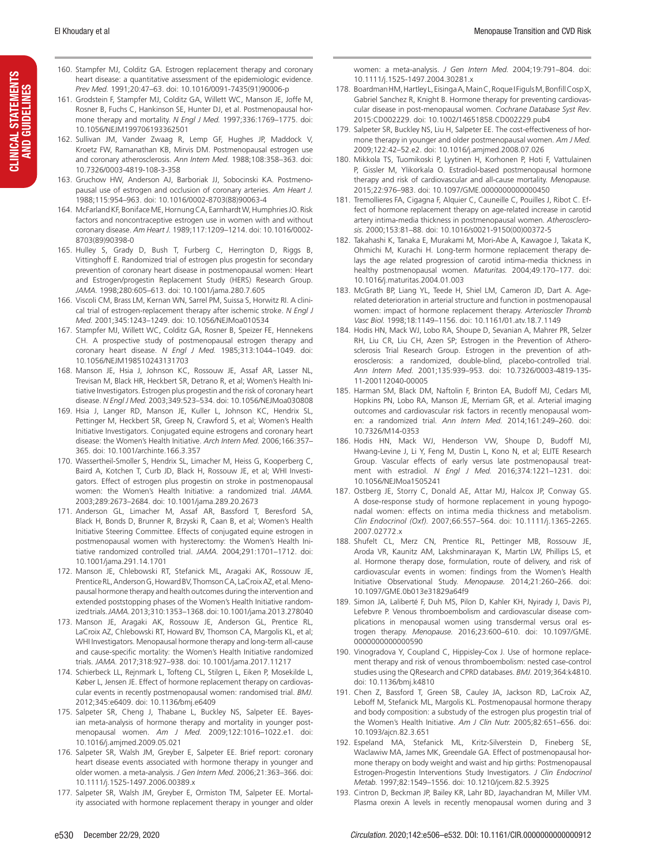- 160. Stampfer MJ, Colditz GA. Estrogen replacement therapy and coronary heart disease: a quantitative assessment of the epidemiologic evidence. *Prev Med.* 1991;20:47–63. doi: 10.1016/0091-7435(91)90006-p
- 161. Grodstein F, Stampfer MJ, Colditz GA, Willett WC, Manson JE, Joffe M, Rosner B, Fuchs C, Hankinson SE, Hunter DJ, et al. Postmenopausal hormone therapy and mortality. *N Engl J Med.* 1997;336:1769–1775. doi: 10.1056/NEJM199706193362501
- 162. Sullivan JM, Vander Zwaag R, Lemp GF, Hughes JP, Maddock V, Kroetz FW, Ramanathan KB, Mirvis DM. Postmenopausal estrogen use and coronary atherosclerosis. *Ann Intern Med.* 1988;108:358–363. doi: 10.7326/0003-4819-108-3-358
- 163. Gruchow HW, Anderson AJ, Barboriak JJ, Sobocinski KA. Postmenopausal use of estrogen and occlusion of coronary arteries. *Am Heart J.* 1988;115:954–963. doi: 10.1016/0002-8703(88)90063-4
- 164. McFarland KF, Boniface ME, Hornung CA, Earnhardt W, Humphries JO. Risk factors and noncontraceptive estrogen use in women with and without coronary disease. *Am Heart J.* 1989;117:1209–1214. doi: 10.1016/0002- 8703(89)90398-0
- 165. Hulley S, Grady D, Bush T, Furberg C, Herrington D, Riggs B, Vittinghoff E. Randomized trial of estrogen plus progestin for secondary prevention of coronary heart disease in postmenopausal women: Heart and Estrogen/progestin Replacement Study (HERS) Research Group. *JAMA.* 1998;280:605–613. doi: 10.1001/jama.280.7.605
- 166. Viscoli CM, Brass LM, Kernan WN, Sarrel PM, Suissa S, Horwitz RI. A clinical trial of estrogen-replacement therapy after ischemic stroke. *N Engl J Med.* 2001;345:1243–1249. doi: 10.1056/NEJMoa010534
- 167. Stampfer MJ, Willett WC, Colditz GA, Rosner B, Speizer FE, Hennekens CH. A prospective study of postmenopausal estrogen therapy and coronary heart disease. *N Engl J Med.* 1985;313:1044–1049. doi: 10.1056/NEJM198510243131703
- 168. Manson JE, Hsia J, Johnson KC, Rossouw JE, Assaf AR, Lasser NL, Trevisan M, Black HR, Heckbert SR, Detrano R, et al; Women's Health Initiative Investigators. Estrogen plus progestin and the risk of coronary heart disease. *N Engl J Med.* 2003;349:523–534. doi: 10.1056/NEJMoa030808
- 169. Hsia J, Langer RD, Manson JE, Kuller L, Johnson KC, Hendrix SL, Pettinger M, Heckbert SR, Greep N, Crawford S, et al; Women's Health Initiative Investigators. Conjugated equine estrogens and coronary heart disease: the Women's Health Initiative. *Arch Intern Med.* 2006;166:357– 365. doi: 10.1001/archinte.166.3.357
- 170. Wassertheil-Smoller S, Hendrix SL, Limacher M, Heiss G, Kooperberg C, Baird A, Kotchen T, Curb JD, Black H, Rossouw JE, et al; WHI Investigators. Effect of estrogen plus progestin on stroke in postmenopausal women: the Women's Health Initiative: a randomized trial. *JAMA.* 2003;289:2673–2684. doi: 10.1001/jama.289.20.2673
- 171. Anderson GL, Limacher M, Assaf AR, Bassford T, Beresford SA, Black H, Bonds D, Brunner R, Brzyski R, Caan B, et al; Women's Health Initiative Steering Committee. Effects of conjugated equine estrogen in postmenopausal women with hysterectomy: the Women's Health Initiative randomized controlled trial. *JAMA.* 2004;291:1701–1712. doi: 10.1001/jama.291.14.1701
- 172. Manson JE, Chlebowski RT, Stefanick ML, Aragaki AK, Rossouw JE, Prentice RL, Anderson G, Howard BV, Thomson CA, LaCroix AZ, et al. Menopausal hormone therapy and health outcomes during the intervention and extended poststopping phases of the Women's Health Initiative randomized trials. *JAMA.* 2013;310:1353–1368. doi: 10.1001/jama.2013.278040
- 173. Manson JE, Aragaki AK, Rossouw JE, Anderson GL, Prentice RL, LaCroix AZ, Chlebowski RT, Howard BV, Thomson CA, Margolis KL, et al; WHI Investigators. Menopausal hormone therapy and long-term all-cause and cause-specific mortality: the Women's Health Initiative randomized trials. *JAMA.* 2017;318:927–938. doi: 10.1001/jama.2017.11217
- 174. Schierbeck LL, Rejnmark L, Tofteng CL, Stilgren L, Eiken P, Mosekilde L, Køber L, Jensen JE. Effect of hormone replacement therapy on cardiovascular events in recently postmenopausal women: randomised trial. *BMJ.* 2012;345:e6409. doi: 10.1136/bmj.e6409
- 175. Salpeter SR, Cheng J, Thabane L, Buckley NS, Salpeter EE. Bayesian meta-analysis of hormone therapy and mortality in younger postmenopausal women. *Am J Med.* 2009;122:1016–1022.e1. doi: 10.1016/j.amjmed.2009.05.021
- 176. Salpeter SR, Walsh JM, Greyber E, Salpeter EE. Brief report: coronary heart disease events associated with hormone therapy in younger and older women. a meta-analysis. *J Gen Intern Med.* 2006;21:363–366. doi: 10.1111/j.1525-1497.2006.00389.x
- 177. Salpeter SR, Walsh JM, Greyber E, Ormiston TM, Salpeter EE. Mortality associated with hormone replacement therapy in younger and older

women: a meta-analysis. *J Gen Intern Med.* 2004;19:791–804. doi: 10.1111/j.1525-1497.2004.30281.x

- 178. Boardman HM, Hartley L, Eisinga A, Main C, Roque I Figuls M, Bonfill Cosp X, Gabriel Sanchez R, Knight B. Hormone therapy for preventing cardiovascular disease in post-menopausal women. *Cochrane Database Syst Rev*. 2015:CD002229. doi: 10.1002/14651858.CD002229.pub4
- 179. Salpeter SR, Buckley NS, Liu H, Salpeter EE. The cost-effectiveness of hormone therapy in younger and older postmenopausal women. *Am J Med.* 2009;122:42–52.e2. doi: 10.1016/j.amjmed.2008.07.026
- 180. Mikkola TS, Tuomikoski P, Lyytinen H, Korhonen P, Hoti F, Vattulainen P, Gissler M, Ylikorkala O. Estradiol-based postmenopausal hormone therapy and risk of cardiovascular and all-cause mortality. *Menopause.* 2015;22:976–983. doi: 10.1097/GME.0000000000000450
- 181. Tremollieres FA, Cigagna F, Alquier C, Cauneille C, Pouilles J, Ribot C. Effect of hormone replacement therapy on age-related increase in carotid artery intima-media thickness in postmenopausal women. *Atherosclerosis.* 2000;153:81–88. doi: 10.1016/s0021-9150(00)00372-5
- 182. Takahashi K, Tanaka E, Murakami M, Mori-Abe A, Kawagoe J, Takata K, Ohmichi M, Kurachi H. Long-term hormone replacement therapy delays the age related progression of carotid intima-media thickness in healthy postmenopausal women. *Maturitas.* 2004;49:170–177. doi: 10.1016/j.maturitas.2004.01.003
- 183. McGrath BP, Liang YL, Teede H, Shiel LM, Cameron JD, Dart A. Agerelated deterioration in arterial structure and function in postmenopausal women: impact of hormone replacement therapy. *Arterioscler Thromb Vasc Biol.* 1998;18:1149–1156. doi: 10.1161/01.atv.18.7.1149
- 184. Hodis HN, Mack WJ, Lobo RA, Shoupe D, Sevanian A, Mahrer PR, Selzer RH, Liu CR, Liu CH, Azen SP; Estrogen in the Prevention of Atherosclerosis Trial Research Group. Estrogen in the prevention of atherosclerosis: a randomized, double-blind, placebo-controlled trial. *Ann Intern Med.* 2001;135:939–953. doi: 10.7326/0003-4819-135- 11-200112040-00005
- 185. Harman SM, Black DM, Naftolin F, Brinton EA, Budoff MJ, Cedars MI, Hopkins PN, Lobo RA, Manson JE, Merriam GR, et al. Arterial imaging outcomes and cardiovascular risk factors in recently menopausal women: a randomized trial. *Ann Intern Med.* 2014;161:249–260. doi: 10.7326/M14-0353
- 186. Hodis HN, Mack WJ, Henderson VW, Shoupe D, Budoff MJ, Hwang-Levine J, Li Y, Feng M, Dustin L, Kono N, et al; ELITE Research Group. Vascular effects of early versus late postmenopausal treatment with estradiol. *N Engl J Med.* 2016;374:1221–1231. doi: 10.1056/NEJMoa1505241
- 187. Ostberg JE, Storry C, Donald AE, Attar MJ, Halcox JP, Conway GS. A dose-response study of hormone replacement in young hypogonadal women: effects on intima media thickness and metabolism. *Clin Endocrinol (Oxf).* 2007;66:557–564. doi: 10.1111/j.1365-2265. 2007.02772.x
- 188. Shufelt CL, Merz CN, Prentice RL, Pettinger MB, Rossouw JE, Aroda VR, Kaunitz AM, Lakshminarayan K, Martin LW, Phillips LS, et al. Hormone therapy dose, formulation, route of delivery, and risk of cardiovascular events in women: findings from the Women's Health Initiative Observational Study. *Menopause.* 2014;21:260–266. doi: 10.1097/GME.0b013e31829a64f9
- 189. Simon JA, Laliberté F, Duh MS, Pilon D, Kahler KH, Nyirady J, Davis PJ, Lefebvre P. Venous thromboembolism and cardiovascular disease complications in menopausal women using transdermal versus oral estrogen therapy. *Menopause.* 2016;23:600–610. doi: 10.1097/GME. 0000000000000590
- 190. Vinogradova Y, Coupland C, Hippisley-Cox J. Use of hormone replacement therapy and risk of venous thromboembolism: nested case-control studies using the QResearch and CPRD databases. *BMJ.* 2019;364:k4810. doi: 10.1136/bmj.k4810
- 191. Chen Z, Bassford T, Green SB, Cauley JA, Jackson RD, LaCroix AZ, Leboff M, Stefanick ML, Margolis KL. Postmenopausal hormone therapy and body composition: a substudy of the estrogen plus progestin trial of the Women's Health Initiative. *Am J Clin Nutr.* 2005;82:651–656. doi: 10.1093/ajcn.82.3.651
- 192. Espeland MA, Stefanick ML, Kritz-Silverstein D, Fineberg SE, Waclawiw MA, James MK, Greendale GA. Effect of postmenopausal hormone therapy on body weight and waist and hip girths: Postmenopausal Estrogen-Progestin Interventions Study Investigators. *J Clin Endocrinol Metab.* 1997;82:1549–1556. doi: 10.1210/jcem.82.5.3925
- 193. Cintron D, Beckman JP, Bailey KR, Lahr BD, Jayachandran M, Miller VM. Plasma orexin A levels in recently menopausal women during and 3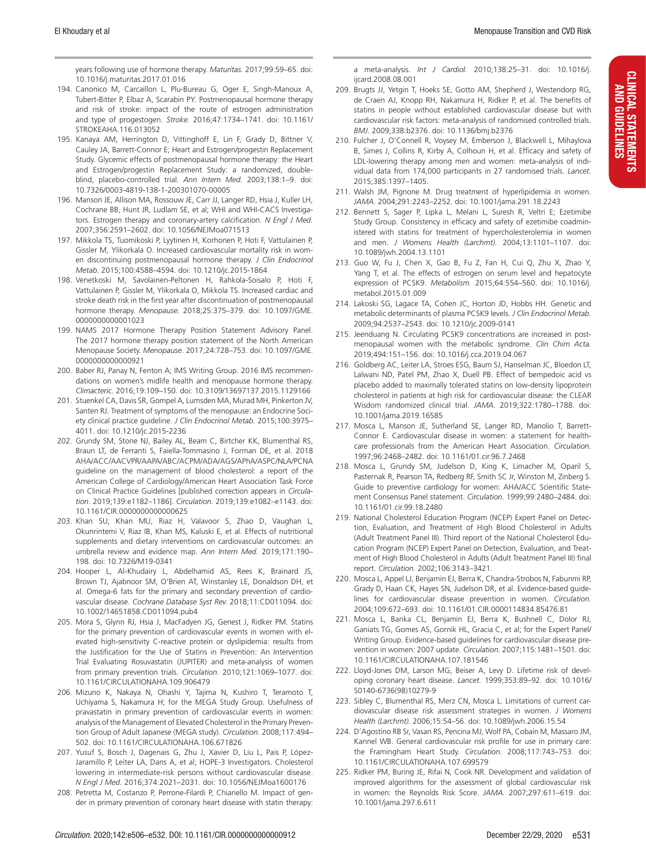CLINICAL STATEMENTS AND GUIDELINES

**CLINICAL STATEMENTS AND GUIDELINES** 

years following use of hormone therapy. *Maturitas.* 2017;99:59–65. doi: 10.1016/j.maturitas.2017.01.016

- 194. Canonico M, Carcaillon L, Plu-Bureau G, Oger E, Singh-Manoux A, Tubert-Bitter P, Elbaz A, Scarabin PY. Postmenopausal hormone therapy and risk of stroke: impact of the route of estrogen administration and type of progestogen. *Stroke.* 2016;47:1734–1741. doi: 10.1161/ STROKEAHA.116.013052
- 195. Kanaya AM, Herrington D, Vittinghoff E, Lin F, Grady D, Bittner V, Cauley JA, Barrett-Connor E; Heart and Estrogen/progestin Replacement Study. Glycemic effects of postmenopausal hormone therapy: the Heart and Estrogen/progestin Replacement Study: a randomized, doubleblind, placebo-controlled trial. *Ann Intern Med.* 2003;138:1–9. doi: 10.7326/0003-4819-138-1-200301070-00005
- 196. Manson JE, Allison MA, Rossouw JE, Carr JJ, Langer RD, Hsia J, Kuller LH, Cochrane BB, Hunt JR, Ludlam SE, et al; WHI and WHI-CACS Investigators. Estrogen therapy and coronary-artery calcification. *N Engl J Med.* 2007;356:2591–2602. doi: 10.1056/NEJMoa071513
- 197. Mikkola TS, Tuomikoski P, Lyytinen H, Korhonen P, Hoti F, Vattulainen P, Gissler M, Ylikorkala O. Increased cardiovascular mortality risk in women discontinuing postmenopausal hormone therapy. *J Clin Endocrinol Metab.* 2015;100:4588–4594. doi: 10.1210/jc.2015-1864
- 198. Venetkoski M, Savolainen-Peltonen H, Rahkola-Soisalo P, Hoti F, Vattulainen P, Gissler M, Ylikorkala O, Mikkola TS. Increased cardiac and stroke death risk in the first year after discontinuation of postmenopausal hormone therapy. *Menopause.* 2018;25:375–379. doi: 10.1097/GME. 0000000000001023
- 199. NAMS 2017 Hormone Therapy Position Statement Advisory Panel. The 2017 hormone therapy position statement of the North American Menopause Society. *Menopause*. 2017;24:728–753. doi: 10.1097/GME. 0000000000000921
- 200. Baber RJ, Panay N, Fenton A; IMS Writing Group. 2016 IMS recommendations on women's midlife health and menopause hormone therapy. *Climacteric.* 2016;19:109–150. doi: 10.3109/13697137.2015.1129166
- 201. Stuenkel CA, Davis SR, Gompel A, Lumsden MA, Murad MH, Pinkerton JV, Santen RJ. Treatment of symptoms of the menopause: an Endocrine Society clinical practice guideline. *J Clin Endocrinol Metab.* 2015;100:3975– 4011. doi: 10.1210/jc.2015-2236
- 202. Grundy SM, Stone NJ, Bailey AL, Beam C, Birtcher KK, Blumenthal RS, Braun LT, de Ferranti S, Faiella-Tommasino J, Forman DE, et al. 2018 AHA/ACC/AACVPR/AAPA/ABC/ACPM/ADA/AGS/APhA/ASPC/NLA/PCNA guideline on the management of blood cholesterol: a report of the American College of Cardiology/American Heart Association Task Force on Clinical Practice Guidelines [published correction appears in *Circulation*. 2019;139:e1182–1186]. *Circulation.* 2019;139:e1082–e1143. doi: 10.1161/CIR.0000000000000625
- 203. Khan SU, Khan MU, Riaz H, Valavoor S, Zhao D, Vaughan L, Okunrintemi V, Riaz IB, Khan MS, Kaluski E, et al. Effects of nutritional supplements and dietary interventions on cardiovascular outcomes: an umbrella review and evidence map. *Ann Intern Med.* 2019;171:190– 198. doi: 10.7326/M19-0341
- 204. Hooper L, Al-Khudairy L, Abdelhamid AS, Rees K, Brainard JS, Brown TJ, Ajabnoor SM, O'Brien AT, Winstanley LE, Donaldson DH, et al. Omega-6 fats for the primary and secondary prevention of cardiovascular disease. *Cochrane Database Syst Rev.* 2018;11:CD011094. doi: 10.1002/14651858.CD011094.pub4
- 205. Mora S, Glynn RJ, Hsia J, MacFadyen JG, Genest J, Ridker PM. Statins for the primary prevention of cardiovascular events in women with elevated high-sensitivity C-reactive protein or dyslipidemia: results from the Justification for the Use of Statins in Prevention: An Intervention Trial Evaluating Rosuvastatin (JUPITER) and meta-analysis of women from primary prevention trials. *Circulation.* 2010;121:1069–1077. doi: 10.1161/CIRCULATIONAHA.109.906479
- 206. Mizuno K, Nakaya N, Ohashi Y, Tajima N, Kushiro T, Teramoto T, Uchiyama S, Nakamura H; for the MEGA Study Group. Usefulness of pravastatin in primary prevention of cardiovascular events in women: analysis of the Management of Elevated Cholesterol in the Primary Prevention Group of Adult Japanese (MEGA study). *Circulation.* 2008;117:494– 502. doi: 10.1161/CIRCULATIONAHA.106.671826
- 207. Yusuf S, Bosch J, Dagenais G, Zhu J, Xavier D, Liu L, Pais P, López-Jaramillo P, Leiter LA, Dans A, et al; HOPE-3 Investigators. Cholesterol lowering in intermediate-risk persons without cardiovascular disease. *N Engl J Med.* 2016;374:2021–2031. doi: 10.1056/NEJMoa1600176
- 208. Petretta M, Costanzo P, Perrone-Filardi P, Chiariello M. Impact of gender in primary prevention of coronary heart disease with statin therapy:

a meta-analysis. *Int J Cardiol.* 2010;138:25–31. doi: 10.1016/j. ijcard.2008.08.001

- 209. Brugts JJ, Yetgin T, Hoeks SE, Gotto AM, Shepherd J, Westendorp RG, de Craen AJ, Knopp RH, Nakamura H, Ridker P, et al. The benefits of statins in people without established cardiovascular disease but with cardiovascular risk factors: meta-analysis of randomised controlled trials. *BMJ.* 2009;338:b2376. doi: 10.1136/bmj.b2376
- 210. Fulcher J, O'Connell R, Voysey M, Emberson J, Blackwell L, Mihaylova B, Simes J, Collins R, Kirby A, Colhoun H, et al. Efficacy and safety of LDL-lowering therapy among men and women: meta-analysis of individual data from 174,000 participants in 27 randomised trials. *Lancet.* 2015;385:1397–1405.
- 211. Walsh JM, Pignone M. Drug treatment of hyperlipidemia in women. *JAMA.* 2004;291:2243–2252. doi: 10.1001/jama.291.18.2243
- 212. Bennett S, Sager P, Lipka L, Melani L, Suresh R, Veltri E; Ezetimibe Study Group. Consistency in efficacy and safety of ezetimibe coadministered with statins for treatment of hypercholesterolemia in women and men. *J Womens Health (Larchmt).* 2004;13:1101–1107. doi: 10.1089/jwh.2004.13.1101
- 213. Guo W, Fu J, Chen X, Gao B, Fu Z, Fan H, Cui Q, Zhu X, Zhao Y, Yang T, et al. The effects of estrogen on serum level and hepatocyte expression of PCSK9. *Metabolism.* 2015;64:554–560. doi: 10.1016/j. metabol.2015.01.009
- 214. Lakoski SG, Lagace TA, Cohen JC, Horton JD, Hobbs HH. Genetic and metabolic determinants of plasma PCSK9 levels. *J Clin Endocrinol Metab.* 2009;94:2537–2543. doi: 10.1210/jc.2009-0141
- 215. Jeenduang N. Circulating PCSK9 concentrations are increased in postmenopausal women with the metabolic syndrome. *Clin Chim Acta.* 2019;494:151–156. doi: 10.1016/j.cca.2019.04.067
- 216. Goldberg AC, Leiter LA, Stroes ESG, Baum SJ, Hanselman JC, Bloedon LT, Lalwani ND, Patel PM, Zhao X, Duell PB. Effect of bempedoic acid vs placebo added to maximally tolerated statins on low-density lipoprotein cholesterol in patients at high risk for cardiovascular disease: the CLEAR Wisdom randomized clinical trial. *JAMA.* 2019;322:1780–1788. doi: 10.1001/jama.2019.16585
- 217. Mosca L, Manson JE, Sutherland SE, Langer RD, Manolio T, Barrett-Connor E. Cardiovascular disease in women: a statement for healthcare professionals from the American Heart Association. *Circulation.* 1997;96:2468–2482. doi: 10.1161/01.cir.96.7.2468
- 218. Mosca L, Grundy SM, Judelson D, King K, Limacher M, Oparil S, Pasternak R, Pearson TA, Redberg RF, Smith SC Jr, Winston M, Zinberg S. Guide to preventive cardiology for women: AHA/ACC Scientific Statement Consensus Panel statement. *Circulation.* 1999;99:2480–2484. doi: 10.1161/01.cir.99.18.2480
- 219. National Cholesterol Education Program (NCEP) Expert Panel on Detection, Evaluation, and Treatment of High Blood Cholesterol in Adults (Adult Treatment Panel III). Third report of the National Cholesterol Education Program (NCEP) Expert Panel on Detection, Evaluation, and Treatment of High Blood Cholesterol in Adults (Adult Treatment Panel III) final report. *Circulation.* 2002;106:3143–3421.
- 220. Mosca L, Appel LJ, Benjamin EJ, Berra K, Chandra-Strobos N, Fabunmi RP, Grady D, Haan CK, Hayes SN, Judelson DR, et al. Evidence-based guidelines for cardiovascular disease prevention in women. *Circulation.* 2004;109:672–693. doi: 10.1161/01.CIR.0000114834.85476.81
- 221. Mosca L, Banka CL, Benjamin EJ, Berra K, Bushnell C, Dolor RJ, Ganiats TG, Gomes AS, Gornik HL, Gracia C, et al; for the Expert Panel/ Writing Group. Evidence-based guidelines for cardiovascular disease prevention in women: 2007 update. *Circulation.* 2007;115:1481–1501. doi: 10.1161/CIRCULATIONAHA.107.181546
- 222. Lloyd-Jones DM, Larson MG, Beiser A, Levy D. Lifetime risk of developing coronary heart disease. *Lancet.* 1999;353:89–92. doi: 10.1016/ S0140-6736(98)10279-9
- 223. Sibley C, Blumenthal RS, Merz CN, Mosca L. Limitations of current cardiovascular disease risk assessment strategies in women. *J Womens Health (Larchmt).* 2006;15:54–56. doi: 10.1089/jwh.2006.15.54
- 224. D'Agostino RB Sr, Vasan RS, Pencina MJ, Wolf PA, Cobain M, Massaro JM, Kannel WB. General cardiovascular risk profile for use in primary care: the Framingham Heart Study. *Circulation.* 2008;117:743–753. doi: 10.1161/CIRCULATIONAHA.107.699579
- 225. Ridker PM, Buring JE, Rifai N, Cook NR. Development and validation of improved algorithms for the assessment of global cardiovascular risk in women: the Reynolds Risk Score. *JAMA.* 2007;297:611–619. doi: 10.1001/jama.297.6.611